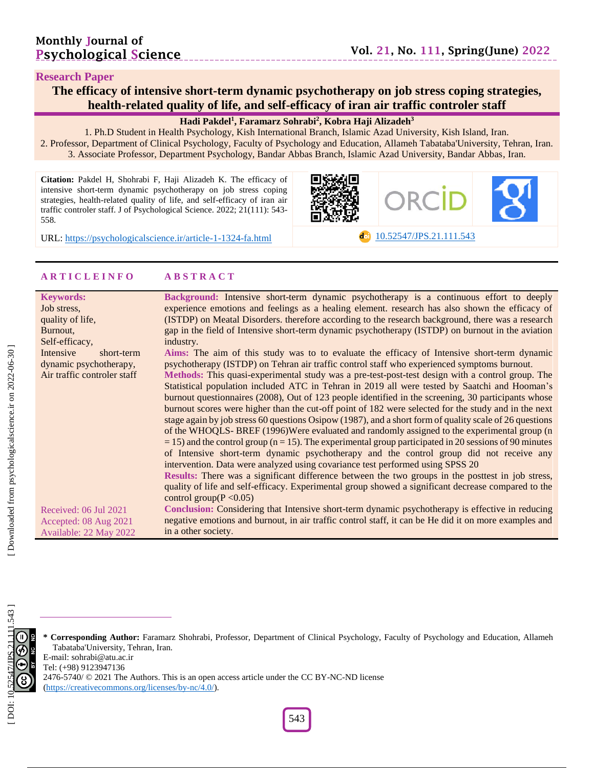#### **Research Paper**

**The efficacy of intensive short -term dynamic psychotherapy on job stress coping strategies, health -related quality of life, and self-efficacy of iran air traffic controler staff**

**Hadi Pakdel 1 , Faramarz Sohrabi 2 , Kobra Haji Alizadeh 3**

1. Ph.D Student in Health Psychology, Kish International Branch, Islamic Azad University, Kish Island, Iran. 2. Professor, Department of Clinical Psychology, Faculty of Psychology and Education, Allameh Tabataba'University, Tehran, Iran. 3. Associate Professor, Department Psychology, Bandar Abbas Branch, Islamic Azad University, Bandar Abbas , Iran .

**Citation:** Pakdel H, Shohrabi F, Haji Alizadeh K. The efficacy of intensive short -term dynamic psychotherapy on job stress coping strategies, health -related quality of life, and self-efficacy of iran air traffic controler staff. J of Psychological Science. 2022; 21(111): 543-558 .





URL: [https://psychologicalscience.ir/article](https://psychologicalscience.ir/article-1-1324-fa.html)-1-1324

#### **A R T I C L E I N F O A B S T R A C T**

| <b>Keywords:</b><br>Job stress,<br>quality of life,<br>Burnout,<br>Self-efficacy, | Background: Intensive short-term dynamic psychotherapy is a continuous effort to deeply<br>experience emotions and feelings as a healing element. research has also shown the efficacy of<br>(ISTDP) on Meatal Disorders. therefore according to the research background, there was a research<br>gap in the field of Intensive short-term dynamic psychotherapy (ISTDP) on burnout in the aviation<br>industry. |
|-----------------------------------------------------------------------------------|------------------------------------------------------------------------------------------------------------------------------------------------------------------------------------------------------------------------------------------------------------------------------------------------------------------------------------------------------------------------------------------------------------------|
| Intensive<br>short-term                                                           | Aims: The aim of this study was to to evaluate the efficacy of Intensive short-term dynamic                                                                                                                                                                                                                                                                                                                      |
| dynamic psychotherapy,                                                            | psychotherapy (ISTDP) on Tehran air traffic control staff who experienced symptoms burnout.                                                                                                                                                                                                                                                                                                                      |
|                                                                                   |                                                                                                                                                                                                                                                                                                                                                                                                                  |
| Air traffic controler staff                                                       | Methods: This quasi-experimental study was a pre-test-post-test design with a control group. The                                                                                                                                                                                                                                                                                                                 |
|                                                                                   | Statistical population included ATC in Tehran in 2019 all were tested by Saatchi and Hooman's                                                                                                                                                                                                                                                                                                                    |
|                                                                                   | burnout questionnaires (2008), Out of 123 people identified in the screening, 30 participants whose                                                                                                                                                                                                                                                                                                              |
|                                                                                   | burnout scores were higher than the cut-off point of 182 were selected for the study and in the next                                                                                                                                                                                                                                                                                                             |
|                                                                                   | stage again by job stress 60 questions Osipow (1987), and a short form of quality scale of 26 questions                                                                                                                                                                                                                                                                                                          |
|                                                                                   | of the WHOQLS-BREF (1996)Were evaluated and randomly assigned to the experimental group (n                                                                                                                                                                                                                                                                                                                       |
|                                                                                   | $=$ 15) and the control group ( $n = 15$ ). The experimental group participated in 20 sessions of 90 minutes                                                                                                                                                                                                                                                                                                     |
|                                                                                   | of Intensive short-term dynamic psychotherapy and the control group did not receive any                                                                                                                                                                                                                                                                                                                          |
|                                                                                   | intervention. Data were analyzed using covariance test performed using SPSS 20                                                                                                                                                                                                                                                                                                                                   |
|                                                                                   | Results: There was a significant difference between the two groups in the posttest in job stress,                                                                                                                                                                                                                                                                                                                |
|                                                                                   | quality of life and self-efficacy. Experimental group showed a significant decrease compared to the                                                                                                                                                                                                                                                                                                              |
|                                                                                   | control group( $P < 0.05$ )                                                                                                                                                                                                                                                                                                                                                                                      |
| Received: 06 Jul 2021                                                             | <b>Conclusion:</b> Considering that Intensive short-term dynamic psychotherapy is effective in reducing                                                                                                                                                                                                                                                                                                          |
| Accepted: 08 Aug 2021                                                             | negative emotions and burnout, in air traffic control staff, it can be He did it on more examples and                                                                                                                                                                                                                                                                                                            |
| Available: 22 May 2022                                                            | in a other society.                                                                                                                                                                                                                                                                                                                                                                                              |
|                                                                                   |                                                                                                                                                                                                                                                                                                                                                                                                                  |

**\* Corresponding Author:** Faramarz Shohrabi , Professor, Department of Clinical Psychology, Faculty of Psychology and Education, Allameh Tabataba'University, Tehran, Iran. E -mail: sohrabi@atu.ac.ir Tel: (+98) 9123947136

2476-5740/ © 2021 The Authors. This is an open access article under the CC BY-NC-ND license [\(https://creativecommons.org/licenses/by](https://creativecommons.org/licenses/by-nc/4.0/) -nc/4.0/).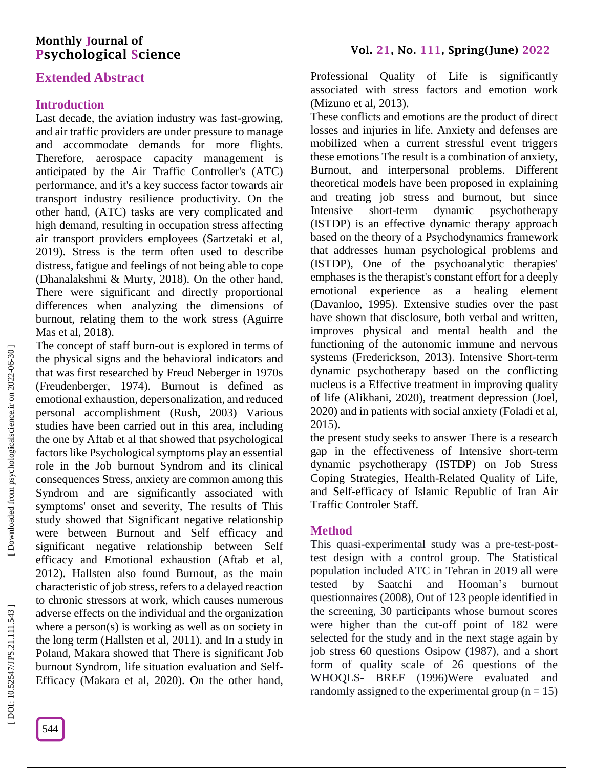# **Monthly Journal of Psychological Science**

# **Extended Abstract**

# **Introduction**

Last decade, the aviation industry was fast -growing, and air traffic providers are under pressure to manage and accommodate demands for more flights. Therefore, aerospace capacity management is anticipated by the Air Traffic Controller's (ATC) performance, and it's a key success factor towards air transport industry resilience productivity. On the other hand, (ATC) tasks are very complicated and high demand, resulting in occupation stress affecting air transport providers employees (Sartzetaki et al, 2019). Stress is the term often used to describe distress, fatigue and feelings of not being able to cope (Dhanalakshmi & Murty, 2018). On the other hand, There were significant and directly proportional differences when analyzing the dimensions of burnout, relating them to the work stress (Aguirre Mas et al, 2018).

The concept of staff burn -out is explored in terms of the physical signs and the behavioral indicators and that was first researched by Freud Neberger in 1970s (Freudenberger, 1974). Burnout is defined as emotional exhaustion, depersonalization, and reduced personal accomplishment (Rush, 2003) Various studies have been carried out in this area, including the one by Aftab et al that showed that psychological factors like Psychological symptoms play an essential role in the Job burnout Syndrom and its clinical consequences Stress, anxiety are common among this Syndrom and are significantly associated with symptoms' onset and severity, The results of This study showed that Significant negative relationship were between Burnout and Self efficacy and significant negative relationship between Self efficacy and Emotional exhaustion (Aftab et al, 2012). Hallsten also found Burnout, as the main characteristic of job stress, refers to a delayed reaction to chronic stressors at work, which causes numerous adverse effects on the individual and the organization where a person(s) is working as well as on society in the long term (Hallsten et al, 2011). and In a study in Poland, Makara showed that There is significant Job burnout Syndrom, life situation evaluation and Self-Efficacy (Makara et al, 2020). On the other hand,

Professional Quality of Life is significantly associated with stress factors and emotion work (Mizuno et al, 2013).

These conflicts and emotions are the product of direct losses and injuries in life. Anxiety and defenses are mobilized when a current stressful event triggers these emotions The result is a combination of anxiety, Burnout, and interpersonal problems. Different theoretical models have been proposed in explaining and treating job stress and burnout, but since Intensive short-term dynamic psychotherapy (ISTDP) is an effective dynamic therapy approach based on the theory of a Psychodynamics framework that addresses human psychological problems and (ISTDP), One of the psychoanalytic therapies' emphases is the therapist's constant effort for a deeply emotional experience as a healing element (Davanloo, 1995). Extensive studies over the past have shown that disclosure, both verbal and written, improves physical and mental health and the functioning of the autonomic immune and nervous systems (Frederickson, 2013). Intensive Short -term dynamic psychotherapy based on the conflicting nucleus is a Effective treatment in improving quality of life (Alikhani, 2020), treatment depression (Joel, 2020) and in patients with social anxiety (Foladi et al, 2015) .

the present study seeks to answer There is a research gap in the effectiveness of Intensive short -term dynamic psychotherapy (ISTDP) on Job Stress Coping Strategies, Health -Related Quality of Life, and Self-efficacy of Islamic Republic of Iran Air Traffic Controler Staff.

# **Method**

This quasi-experimental study was a pre-test-posttest design with a control group. The Statistical population included ATC in Tehran in 2019 all were tested by Saatchi and Hooman's burnout questionnaires (2008), Out of 123 people identified in the screening, 30 participants whose burnout scores were higher than the cut -off point of 182 were selected for the study and in the next stage again by job stress 60 questions Osipow (1987), and a short form of quality scale of 26 questions of the WHOQLS - BREF (1996)Were evaluated and randomly assigned to the experimental group ( $n = 15$ )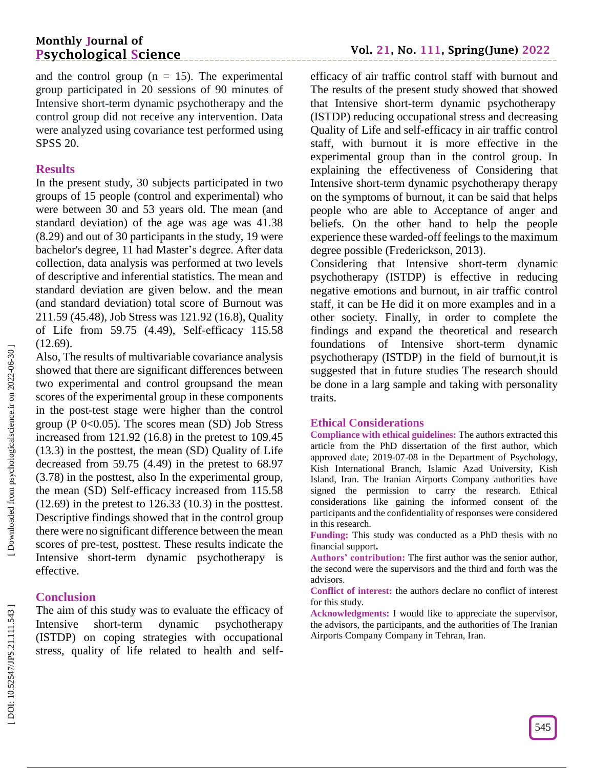and the control group  $(n = 15)$ . The experimental group participated in 20 sessions of 90 minutes of Intensive short -term dynamic psychotherapy and the control group did not receive any intervention. Data were analyzed using covariance test performed using SPSS 20.

#### **Results**

In the present study, 30 subjects participated in two groups of 15 people (control and experimental) who were between 30 and 53 years old. The mean (and standard deviation) of the age was age was 41.38 (8.29) and out of 30 participants in the study, 19 were bachelor's degree, 11 had Master's degree. After data collection, data analysis was performed at two levels of descriptive and inferential statistics. The mean and standard deviation are given below. and the mean (and standard deviation) total score of Burnout was 211.59 (45.48), Job Stress was 121.92 (16.8), Quality of Life from 59.75 (4.49), Self -efficacy 115.58  $(12.69)$ .

Also, The results of multivariable covariance analysis showed that there are significant differences between two experimental and control groupsand the mean scores of the experimental group in these components in the post -test stage were higher than the control group (P  $0<0.05$ ). The scores mean (SD) Job Stress increased from 121.92 (16.8) in the pretest to 109.45 (13.3) in the posttest, the mean (SD) Quality of Life decreased from 59.75 (4.49) in the pretest to 68.97 (3.78) in the posttest, also In the experimental group, the mean (SD) Self-efficacy increased from 115.58  $(12.69)$  in the pretest to 126.33  $(10.3)$  in the posttest. Descriptive findings showed that in the control group there were no significant difference between the mean scores of pre -test, posttest. These results indicate the Intensive short -term dynamic psychotherapy is effective.

### **Conclusion**

The aim of this study was to evaluate the efficacy of Intensive short dynamic psychotherapy (ISTDP) on coping strategies with occupational stress, quality of life related to health and self -

efficacy of air traffic control staff with burnout and The results of the present study showed that showed that Intensive short -term dynamic psychotherapy (ISTDP) reducing occupational stress and decreasing Quality of Life and self-efficacy in air traffic control staff, with burnout it is more effective in the experimental group than in the control group. In explaining the effectiveness of Considering that Intensive short -term dynamic psychotherapy therapy on the symptoms of burnout, it can be said that helps people who are able to Acceptance of anger and beliefs. On the other hand to help the people experience these warded -off feelings to the maximum degree possible (Frederickson, 2013).

Considering that Intensive short -term dynamic psychotherapy (ISTDP) is effective in reducing negative emotions and burnout, in air traffic control staff, it can be He did it on more examples and in a other society. Finally, in order to complete the findings and expand the theoretical and research foundations of Intensive short -term dynamic psychotherapy (ISTDP) in the field of burnout,it is suggested that in future studies The research should be done in a larg sample and taking with personality traits.

#### **Ethical Considerations**

**Compliance with ethical guidelines:** The authors extracted this article from the PhD dissertation of the first author, which approved date, 2019 -07 -08 in the Department of Psychology, Kish International Branch, Islamic Azad University, Kish Island, Iran. The Iranian Airports Company authorities have signed the permission to carry the research. Ethical considerations like gaining the informed consent of the participants and the confidentiality of responses were considered in this research.

**Funding:** This study was conducted as a PhD thesis with no financial support **.**

**Authors' contribution:** The first author was the senior author, the second were the supervisors and the third and forth was the advisors.

**Conflict of interest:** the authors declare no conflict of interest for this study.

**Acknowledgments:** I would like to appreciate the supervisor, the advisors, the participants, and the authorities of The Iranian Airports Company Company in Tehran, Iran.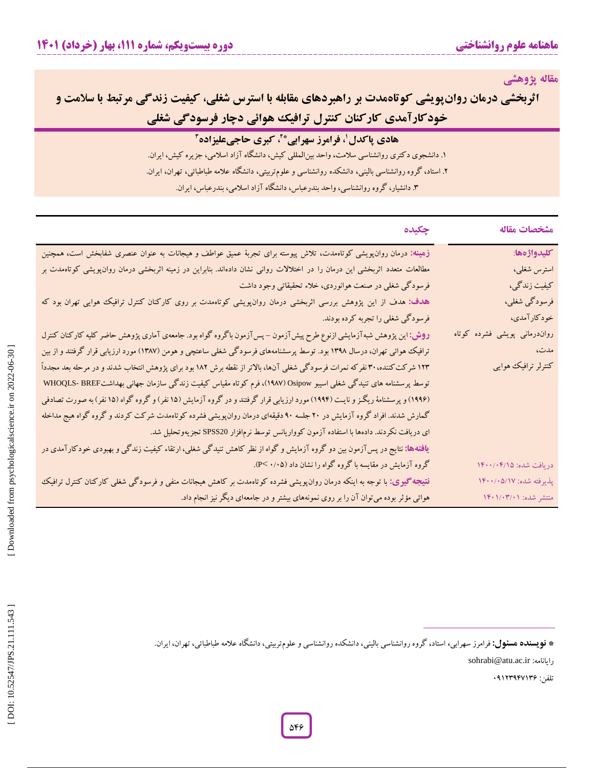**مقاله پژوهشی**

**اثربخشی درمان روانپویشی کوتاهمدت بر راهبردهای مقابله با استرس شغلی، کیفیت زندگی مرتبط با سلامت و شغلی هوائی دچار فرسودگی کارکنان کنترل ترافیک خودکارآمدی**

# **هادی پاکدل ، فرامرز سهرابی <sup>1</sup> 2 \* ، کبری حاجیعلیزاده**

. دانشجوی دکتری روانشناسی سالمت، واحد بینالمللی کیش، دانشگاه آزاد اسالمی، جزیره کیش، ایران. **<sup>3</sup>** ۲. استاد، گروه روانشناسی بالینی، دانشکده روانشناسی و علومتربیتی، دانشگاه علامه طباطبائی، تهران، ایران.<br>۳. استاد، گروه روانشناسی، واحد بندرعباس، دانشگاه آزاد اسلامی، بندرعباس، ایران.

| مشخصات مقاله                 | چکیده                                                                                                                          |
|------------------------------|--------------------------------------------------------------------------------------------------------------------------------|
| كليدواژهها:                  | زهینه: درمان روان،پویشی کوتاهمدت، تلاش پیوسته برای تجربهٔ عمیق عواطف و هیجانات به عنوان عنصری شفابخش است، همچنین               |
| استرس شغلي،                  | مطالعات متعدد اثربخشی این درمان را در اختلالات روانی نشان دادهاند. بنابراین در زمینه اثربخشی درمان روان،پویشی کوتاهمدت بر      |
| كيفيت زندگي،                 | فرسودگی شغلی در صنعت هوانوردی، خلاء تحقیقاتی وجود داشت                                                                         |
| فرسودگی شغلی،                | هدف: هدف از این پژوهش بررسی اثربخشی درمان روانپویشی کوتاهمدت بر روی کارکنان کنترل ترافیک هوایی تهران بود که                    |
| خودكارآمدي،                  | فرسودگی شغلی را تجربه کرده بودند.                                                                                              |
| رواندرمانی پویشی فشرده کوتاه | <b>روش:</b> این پژوهش شبهآزمایشی ازنوع طرح پیشآزمون – پسآزمون باگروه گواه بود. جامعهی آماری پژوهش حاضر کلیه کارکنان کنترل      |
| مدت،                         | ترافیک هوائی تهران، درسال ۱۳۹۸ بود. توسط پرسشنامههای فرسودگی شغلی ساعتچی و هومن (۱۳۸۷) مورد ارزیابی قرار گرفتند و از بین       |
| کنترلر ترافیک هوایی          | ۱۲۳ شرکت کننده، ۳۰ نفرکه نمرات فرسودگی شغلی آنها، بالاتر از نقطه برش ۱۸۲ بود برای پژوهش انتخاب شدند و در مرحله بعد مجدداً      |
|                              | توسط پرسشنامه های تنیدگی شغلی اسیبو Osipow (۱۹۸۷)، فرم کوتاه مقیاس کیفیت زندگی سازمان جهانی بهداشتWHOQLS- BREF                 |
|                              | (۱۹۹۶) و پرسشنامهٔ ریگـز و نایـت (۱۹۹۴) مورد ارزیابی قرار گرفتند و در گروه آزمایش (۱۵ نفر) و گروه گواه (۱۵ نفر) به صورت تصادفی |
|                              | گمارش شدند. افراد گروه آزمایش در ۲۰ جلسه ۹۰ دقیقهای درمان روانپویشی فشرده کوتاهمدت شرکت کردند و گروه گواه هیج مداخله           |
|                              | ای دریافت نکردند. دادهها با استفاده آزمون کوواریانس توسط نرمافزار SPSS20 تجزیهوتحلیل شد.                                       |
|                              | <b>یافتهها:</b> نتایج در پسآزمون بین دو گروه آزمایش و گواه از نظر کاهش تنیدگی شغلی، ارتقاء کیفیت زندگی و بهبودی خودکارآمدی در  |
| دريافت شده: ١٤٠١/٢٠٠/٠۴      | گروه آزمایش در مقایسه با گروه گواه را نشان داد (۲۰۰۵- P).                                                                      |
| پذیرفته شده: ۱۴۰۰/۰۵/۱۷      | <b>نتیجه گیوی:</b> با توجه به اینکه درمان روانپویشی فشرده کوتاهمدت بر کاهش هیجانات منفی و فرسودگی شغلی کارکنان کنترل ترافیک    |
| منتشر شده: ۱۴۰۱/۰۳/۰۱        | هوائی مؤثر بوده میتوان آن را بر روی نمونههای بیشتر و در جامعهای دیگر نیز انجام داد.                                            |

شر شده: ۱۴۰۱/۰۳/۰۱<br>نشر شده: ۱۴۰۱/۰۳/۰۱<br>**نویسنده هسئول:** فرامرز سهرابی، استاد، گروه روانشناسی بالینی، دانشکده روانشناسی و علومتربیتی، دانشگاه علامه طباطبائی، تهران، ایران.<br>**نویسنده هسئول:** فرامرز سهرابی، استاد، گروه روانشن \* **نویسنده هسئول:** فرامرز سهرابی، استاد، گروه روانشناسی بالینی، دانشکده روانشناسی و علومتربیتی، دانشگاه علامه طباطبائی، تهران، ایران.

sohrabi@atu.ac.ir :رایانامه

43123341135 :تلفن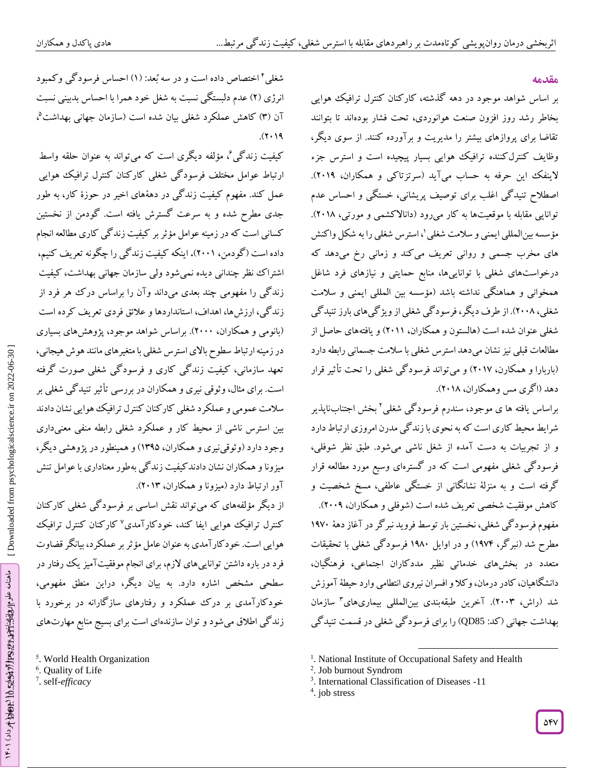#### **مقدمه**

بر اساس شواهد موجود در دهه گذشته، کارکنان کنترل ترافیک هوایی بخاطر رشد روز افزون صنعت هوانوردی، تحت فشار بودهاند تا بتوانند تقاضا برای پروازهای بیشتر را مدیریت و برآورده کنند. از سوی دیگر، وظایف کنترلکننده ترافیک هوایی بسیار پیچیده است و استرس جزء الینفک این حرفه به حساب میآید )سرتزتاکی و همکاران، 2413(. اصطالح تنیدگی اغلب برای توصیف پریشانی، خستگی و احساس عدم توانایی مقابله با موقعیتها به کار میرود (دانالاکشمی و مورتی، ۲۰۱۸). مؤسسه بینالمللی ایمنی و سلامت شغلی \، استرس شغلی را به شکل واکنش های مخرب جسمی و روانی تعریف می کند و زمانی رخ میدهد که درخواستهای شغلی با تواناییها، منابع حمایتی و نیازهای فرد شاغل همخوانی و هماهنگی نداشته باشد (مؤسسه بین المللی ایمنی و سلامت شغلی، 2441(. از طرف دیگر، فرسودگی شغلی از ویژگیهای بارز تنیدگی شغلی عنوان شده است )هالستون و همکاران، 2411( و یافتههای حاصل از مطالعات قبلی نیز نشان میدهد استرس شغلی با سالمت جسمانی رابطه دارد )باربارا و همکارن، 2411( و میتواند فرسودگی شغلی را تحت تأثیر قرار دهد )اگری مس وهمکاران، 2411(.

براساس یافته ها ی موجود، سندرم فرسودگی شغلی<sup>۲</sup> بخش اجتنابناپذیر شرایطمحیط کاری است که به نحوی بازندگی مدرن امروزی ارتباط دارد و از تجربیات به دست آمده از شغل ناشی میشود. طبق نظر شوفلی، فرسودگی شغلی مفهومی است که در گسترهای وسیع مورد مطالعه قرار گرفته است و به منزلة نشانگانی از خستگی عاطفی، مسخ شخصیت و کاهش موفقیت شخصی تعریف شده است )شوفلی و همکاران، 2443(. مفهوم فرسود کی شغلی، نخستین بار توسط فروید نبر کر در آغاز دههٔ ۱۹۷۰ مطرح شد )نبرگر، 1314( و در اوایل 1314 فرسودگی شغلی با تحقیقات متعدد در بخشهای خدماتی نظیر مددکاران اجتماعی، فرهنگیان، دانشگاهیان، کادر درمان، وکال و افسران نیروی انتطامی وارد حیطة آموزش شد (راش، ۲۰۰۳). آخرین طبقهبندی بینالمللی بیماریهای<sup>۳</sup> بهداشت جهانی (کد: QD85) را برای فرسودگی شغلی در قسمت تنیدگی

شغلی<sup>۴</sup> اختصاص داده است و در سه بُعد: (۱) احساس فرسودگی وکمبود انرژی (۲) عدم دلبستکی نسبت به شغل خود همرا با احساس بدبینی نسبت آن (۳) کاهش عملکرد شغل<sub>ی</sub> بیان شده است (سازمان جهان<sub>ی</sub> بهداشت<sup>۵</sup>،  $.17.7$ 

کیفیت زندگی<sup>ع</sup>، مؤلفه دیگری است که میتواند به عنوان حلقه واسط ارتباط عوامل مختلف فرسودگی شغلی کارکنان کنترل ترافیک هوایی عمل کند. مفهوم کیفیت زندگی در دهةهای اخیر در حوزۀ کار، به طور جدی مطرح شده و به سرعت کسترش یافته است. کودمن از نخستین کسانی است که در زمینه عوامل مؤثر بر کیفیت زندگی کاری مطالعه انجام داده است (گودمن، **۲۰۰۱).** اینکه کیفیت زندگی را چگونه تعریف کنیم، اشتراک نظر چندانی دیده نمی شود ولی سازمان جهانی بهداشت، کیفیت زندگی را مفهومی چند بعدی میداند وآن را براساس درک هر فرد از زندگی، ارزشها، اهداف، استانداردها و علائق فردی تعریف کرده است (بانومی و همکاران، ۲۰۰۰). براساس شواهد موجود، پژوهشهای بسیاری در زمینه ارتباط سطوح باالی استرس شغلی با متغیرهای مانند هوش هیجانی، تعهد سازمانی، کیفیت زندگی کاری و فرسودگی شغلی صورت گرفته است. برای مثال،وثوقی نیری و همکاران در بررسی تأثیر تنیدگی شغلی بر سلامت عمومی و عملکرد شغلی کار کنان کنترل ترافیک هوایی نشان دادند بین استرس ناشی از محیط کار و عملکرد شغلی رابطه منفی معنیداری وجود دارد (و توقی نیری و همکاران، ۱۳۹۵) و همینطور در پژوهشی دیگر، میزوناو همکاران نشان دادندکیفیت زندگی بهطور معناداری با عوامل تنش اور ارتباط دارد (میزونا و همکاران، ۲۰۱۳).

از دیگر مؤلفههای که میتواند نقش اساسی بر فرسودگی شغلی کارکنان کنترل ترافیک هوایی ایفا کند، خودکارآمدی<sup>۷</sup>کارکنان کنترل ترافیک هوایی است. خودکارآمدی به عنوان عامل مؤثربر عملکرد، بیانگر قضاوت فرد در باره داشتن تواناییهای الزم، برای انجام موفقیتآمیز یک رفتار در سطحی مشخص اشاره دارد. به بیان دیگر، دراین منطق مفهومی، خودکارآمدی بر درک عملکرد و رفتارهای سازگارانه در برخورد با 5 زندگی اطالق میشود و توان سازندهای است برای بسیج منابع مهارتهای

<sup>5</sup>. World Health Organization

7 . self-*efficacy*

 $\overline{\phantom{a}}$ <sup>1</sup>. National Institute of Occupational Safety and Health

<sup>2</sup> . Job burnout Syndrom

<sup>3</sup> . International Classification of Diseases -11

<sup>&</sup>lt;sup>4</sup>. job stress

<sup>6</sup> . Quality of Life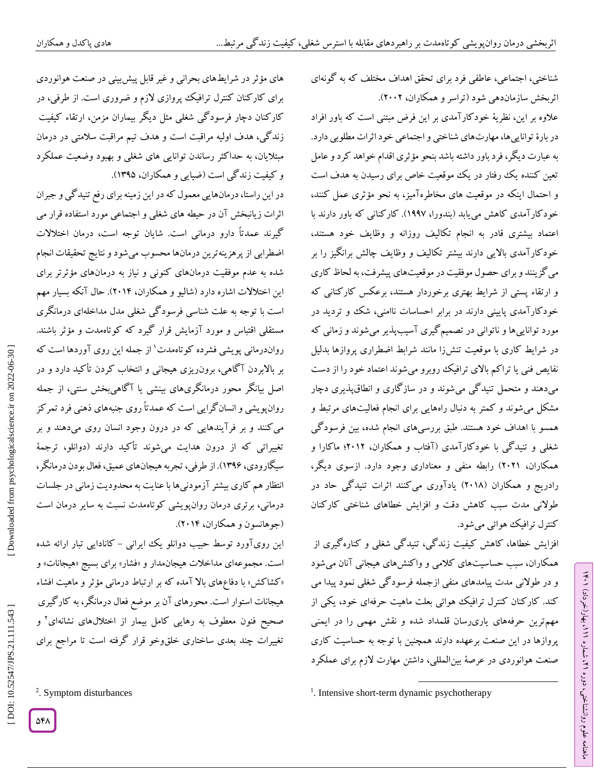شناختی، اجتماعی، عاطفی فرد برای تحقق اهداف مختلف که به گونهای اثربخش سازماندهی شود )تراسر و همکاران، 2442(.

عالوه بر این، نظریة خودکارآمدی بر این فرض مبتنی است که باور افراد در بارۀ تواناییها، مهارتهای شناختی و اجتماعی خود اثرات مطلوبی دارد. به عبارت دیگر، فرد باور داشته باشد بنحو مؤثری اقدام خواهد کرد و عامل تعین کننده یک رفتار در یک موقعیت خاص برای رسیدن به هدف است و احتمال اینکه در موقعیت های مخاطرهآمیز، به نحو مؤثری عمل کنند، خودکارآمدی کاهش مییابد (بندورا، ۱۹۹۷). کارکنانی که باور دارند با<br>اعتماد بیشتری قادر به انجام تکالیف روزانه و وظایف خود هستند، خودکارآمدی باالیی دارند بیشتر تکالیف و وظایف چالش برانگیز را بر میگزینند و برای حصول موفقیت در موقعیتهای پیشرفت، به لحاظ کاری و ارتقاء پستی از شرایط بهتری برخوردار هستند، برعکس کارکنانی که خودکارآمدی پایینی دارند در برابر احساسات ناامنی، شک و تردید در مورد تواناییها و ناتوانی در تصمیمگیری آسیبپذیر میشوند و زمانی که در شرایط کاری با موقعیت تنشزا مانند شرابط اضطراری پروازها بدلیل نفایص فنی یا تراکم باالی ترافیک روبرو میشوند اعتماد خود را از دست میدهند و متحمل تنیدگی میشوند و در سازگاری و انطاقپذیری دچار<br>مشکل میشوند و کمتر به دنبال راههایی برای انجام فعالیتهای مرتبط و همسو با اهداف خود هستند. طبق بررسیهای انجام شده، بین فرسودگی شغلی و تنیدگی با خودکارآمدی )آفتاب و همکاران، 2412؛ ماکارا و همکاران، 2421( رابطه منفی و معناداری وجود دارد. ازسوی دیگر، رادریج و همکاران )2411( یادآوری میکنند اثرات تنیدگی حاد در طولانی مدت سبب کاهش دقت و افزایش خطاهای شناختی کارکنان<br>کنترل ترافیک هوائی میشود.

افزایش خطاها، کاهش کیفیت زندگی، تنیدگی شغلی و کنارهگیری از همکاران، سبب حساسیتهای کلامی و واکنشهای هیجانی آنان می شود و در طوالنی مدت پیامدهای منفی ازجمله فرسودگی شغلی نمود پیدا می کند. کارکنان کنترل ترافیک هوائی بعلت ماهیت حرفهای خود، یکی از مهمترین حرفههای یاریرسان قلمداد شده و نقش مهمی را در ایمنی پروازها در این صنعت برعهده دارند همچنین با توجه به حساسیت کاری صنعت هوانوردی در عرصة بینالمللی، داشتن مهارت الزم برای عملکرد

ラン

، بهار)خرداد( 111

، شماره 21

ماهنامه علوم روانشناختی، دوره

در این راستا، درمانهایی معمول که در این زمینهبرای رفع تنیدگی و جبران اثرات زیانبخش آن در حیطه های شغلی و اجتماعی مورد استفاده قرار می گیرند عمدتاً دارو درمانی است. شایان توجه است، درمان اختالالت اضطرابی از پرهزینهترین درمانها محسوب میشود و نتایج تحقیقات انجام شده به عدم موفقیت درمانهای کنونی و نیاز به درمانهای مؤثرتر برای این اختلالات اشاره دارد (شالیو و همکاران، ۲۰۱۴). حال آنکه بسیار مهم است با توجه به علت شناسی فرسودگی شغلی مدل مداخلهای درمانگری مستقلی اقتباس و مورد آزمایش قرار کیرد که کوتاهمدت و مؤثر باشند. رواندرمانی پویشی فشرده کوتاهمدت 1 از جمله این روی آوردها است که بر بالابردن اکاهی، برون٫ریزی هیجانی و انتخاب کردن تاکید دارد و در اصل بیانگر محور درمانگریهای بینشی یا آگاهیبخش سنتی، از جمله روانپویشی و انسانگرایی است که عمدتاً روی جنبههای ذهنی فرد تمرکز میکنند و بر فرآیندهایی که در درون وجود انسان روی میدهند و بر تغییراتی که از درون هدایت میشوند تأکید دارند )دوانلو، ترجمة سیگارودی، 1335(. از طرفی، تجربه هیجانهای عمیق، فعال بودن درمانگر، انتظار هم کاری بیشتر آزمودنیها با عنایت به محدودیت زمانی در جلسات درمانی، برتری درمان روانپویشی کوتاهمدت نسبت به سایر درمان است جوهانسون و همکاران، 2414(. (

این روی[ورد توسط حبیب دوانلو یک ایرانی – کانادایی تبار ارائه شده است. مجموعهای مداخلات هیجانمدار و «فشار» برای بسیج «هیجانات» و «کشاکش» با دفاعِهای بالا آمده که بر ارتباط درمانی مؤثر و ماهیت افشاء هیجانات استوار است. محورهای آن برموضع فعال درمانگر، به کارگیری صحیح فنون معطوف به رهایی کامل بیمار از اختلالهای نشانهای<sup>۲</sup> و تغییرات چند بعدی ساختاری خلقوخو قرار گرفته است تا مراجع برای<br>تغییرات<br>Symptom disturbances

<sup>1</sup>. Intensive short-term dynamic psychotherapy

 $\overline{\phantom{a}}$ 

های مؤثر در شرایطهای بحرانی و غیر قابل پیشبینی در صنعت هوانوردی برای کارکنان کنترل ترافیک پروازی الزم و ضروری است. از طرفی، در کارکنان دچار فرسودگی شغلی مثل دیگر بیماران مزمن، ارتقاء کیفیت زندگی، هدف اولیه مراقبت است و هدف تیم مراقبت سالمتی در درمان مبتلایان، به حداکثر رساندن توانایی های شغلی و بهبود وضعیت عملکرد و کیفیت زندگی است )ضیایی و همکاران، 1336(.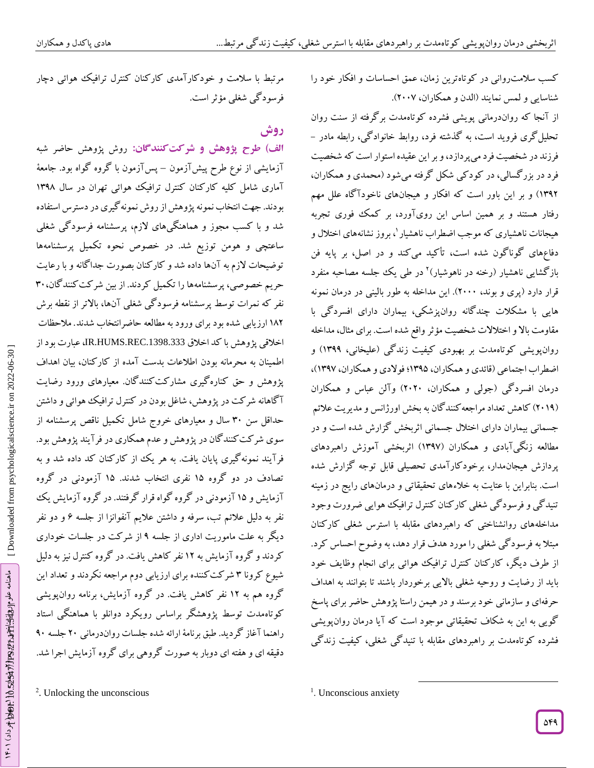مرتبط با سلامت و خودکارآمدی کارکنان کنترل ترافیک هوائی دچار

ا**ل**ف) طرح پژوهش و شرکت *گ*نندگان: روش پژوهش حاضر شبه آزمایشی از نوع طرح پیشآزمون – پسآزمون با گروه گواه بود. جامعهٔ آماری شامل کلیه کارکنان کنترل ترافیک هوائی تهران در سال 1331

بودند. جهت انتخاب نمونه پژوهشاز روش نمونهگیری در دسترس استفاده شد و با کسب مجوز و هماهنگیهای الزم، پرسشنامه فرسودگی شغلی

ساعتچی و هومن توزیع شد. در خصوص نحوه تکمیل پرسشنامهها

توضیحات لازم به آنها داده شد و کار کنان بصورت جدا کانه و با رعایت

34 حریم خصوصی، پرسشنامهها را تکمیل کردند. از بین شرکتکنندگان،

نفر که نمرات توسط پرسشنامه فرسود کی شغلی آنها، بالاتر از نقطه برش ۱۸۲ ارزیابی شده بود برای ورود به مطالعه حاضرانتخاب شدند. ملاحظات اخالقی پژوهش با کد اخالق .1398.333REC.HUMS.IR، عبارت بود از

اطمینان به محرمانه بودن اطالعات بدست آمده از کارکنان، بیان اهداف پژوهش و حق کنارهگیری مشارکتکنندگان. معیارهای ورود رضایت

ا کاهانه شر کت در پژوهش، شاغل بودن در کنترل ترافیک هوائی و داشتن حداقل سن 34 سال و معیارهای خروج شامل تکمیل ناقص پرسشنامه از سوی شرکتکنندگان در پژوهش و عدم همکاری در فرآیند پژوهش بود. فرآیند نمونهگیری پایان یافت. به هر یک از کارکنان کد داده شد و به

تصادف در دو گروه 16 نفری انتخاب شدند. 16 آزمودنی در گروه آزمایش و 16 آزمودنی در گروه گواه قرار گرفتند. در گروه آزمایش یک

نفر به دلیل علائم تب، سرفه و داشتن علایم آنفوانزا از جلسه ۶ و دو نفر دیگر به علت ماموریت اداری از جلسه ۹ از شرکت در جلسات خوداری کردند و گروه آزمایش به 12 نفر کاهش یافت. در گروه کنترل نیز به دلیل

شیوع کرونا ۳ شرکت کننده برای ارزیابی دوم مراجعه نکردند و تعداد این گروه هم به 12 نفر کاهش یافت. در گروه آزمایش، برنامه روانپویشی

کوتاهمدت توسط پژوهشگر براساس رویکرد دوانلو با هماهنگی استاد

شغلی مؤثر است. فرسودگی

**روش**

کسب سلامت روانی در کوتاهترین زمان، عمق احساسات و افکار خود را شناسایی و لمس نمایند (الدن و همکاران، ۲۰۰۷).

از آنجا که رواندرمانی پویشی فشرده کوتاهمدت برگرفته از سنت روان<br>تحلیلگری فروید است، به گذشته فرد، روابط خانوادگی، رابطه مادر – فرزند در شخصیت فرد می پردازد، و بر این عقیده استوار است که شخصیت فرد در بزرگسالی، در کودکی شکل گرفته میشود )محمدی و همکاران، ۱۳۹۲) و بر این باور است که افکار و هیجانهای ناخودا کاه علل مهم رفتار هستند و بر همین اساس این رویآورد، بر کمک فوری تجربه هیجانات ناهشیاری که موجب اضطراب ناهشیار <sup>۱</sup>، بروز نشانههای اختلال و دفاعهای گوناگون شده است، تأکید میکند و در اصل، بر پایه فن بازگشایی ناهشیار (رخنه در ناهوشیار)<sup>۲</sup> در طی یک جلسه مصاحبه منفرد قرار دارد (پری و بوند، ۲۰۰۰). این مداخله به طور بالینی در درمان نمونه هایی با مشکلات چندگانه روانپزشکی، بیماران دارای افسردگی با مقاومت بالا و اختلالات شخصیت مؤثر واقع شده است. برای مثال، مداخله روان $بویشی کوتاهمدت بر بهبودی کیفیت زندگی (علیخانی، ۱۳۹۹) و$ اضطراب اجتماعی (قائدی و همکاران، ۱۳۹۵؛ فولادی و همکاران، ۱۳۹۷)، درمان افسردگی (جولی و همکاران، ۲۰۲۰) والن عباس و همکاران (۲۰۱۹) کاهش تعداد مراجعه کنند کان به بخش اورژانس و مدیریت علائم جسمانی بیماران دارای اختلال جسمانی اثربخش گزارش شده است و در مطالعه زنگیآبادی و همکاران )1331( اثربخشی آموزش راهبردهای پردازش هیجانمدار، برخودکارآمدی تحصیلی قابل توجه گزارش شده است. بنابراین با عتایت به خالءهای تحقیقاتی و درمانهای رایج در زمینه تنیدگی و فرسودگی شغلی کارکنان کنترل ترافیک هوایی ضرورت وجود مداخلههای روانشناختی که راهبردهای مقابله با استرس شغلی کارکنان مبتال به فرسودگی شغلی را مورد هدف قرار دهد، به وضوح احساس کرد. از طرف دیگر، کارکنان کنترل ترافیک هوائی برای انجام وظایف خود باید از رضایت و روحیه شغلی باالیی برخوردار باشند تا بتوانند به اهداف حرفهای و سازمانی خود برسند ودر هیمن راستا پژوهش حاضر برای پاسخ گویی به این به شکاف تحقیقاتی موجود است که آیا درمان روان،پویشی<br>فشرده کوتاهمدت بر راهبردهای مقابله با تنیدگی شغلی، کیفیت زندگی

راهنما آغاز گردید. طبق برنامهٔ ارائه شده جلسات رواندرمانی ۲۰ جلسه ۹۰<br>دقیقه ای و هفته ای دوبار به صورت گروهی برای گروه آزمایش اجرا شد.<br>Dnlocking the unconscious :

 $\overline{\phantom{a}}$ 

<sup>&</sup>lt;sup>1</sup>. Unconscious anxiety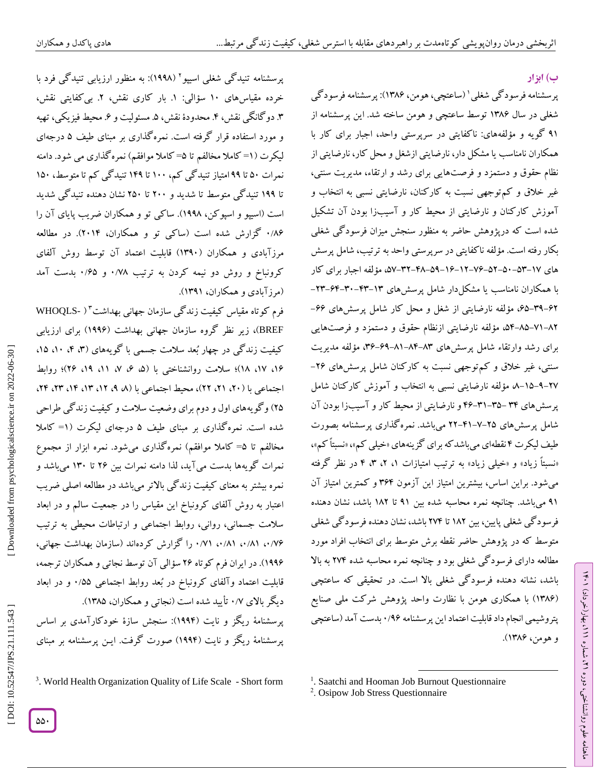#### **ب( ابزار**

ラン

، بهار)خرداد( 111

، شماره 21

ماهنامه علوم روانشناختی، دوره

پرسشنامه فرسودگی شغلی` (ساعتچی، هومن، ۱۳۸۶): پرسشنامه فرسودگی شغلی در سال 1315 توسط ساعتچی و هومن ساخته شد. این پرسشنامه از ۹۱ کویه و مؤلفههای: ناکفایتی در سرپرستی واحد، اجبار برای کار با همکاران نامناسب یا مشکل دار، نارضایتی ازشغل ومحل کار، نارضایتی از نظام حقوق و دستمزد و فرصتهایی برای رشد و ارتقاء، مدیریت سنتی، غیر خلاق و کم;توجهی نسبت به کار کنان، نارضایتی نسبی به انتخاب و آموزش کارکنان و نارضایتی از محیط کار و آسیبزا بودن آن تشکیل شده است که درپژوهش حاضر به منظور سنجش میزان فرسودگی شغلی بکار رفته است. مؤلفه ناکفایتی در سرپرستی واحد به ترتیب، شامل پرسش های ۰۵۲–۵۲–۵۲–۶۷–۶۱–۵۹–۵۹–۴۸–۵۲–۵۷–۵۷، مؤلفه اجبار برای کار با همکاران نامناسب یا مشکلدار شامل پرسشهای ۲۳–۴۳–۴۰–۲۳–۲۳– ۶۲–۴۹–۶۵، مؤلفه نارضایتی از شغل و محل کار شامل پرسشهای ۶۶– ۸۲–۸۱–۸۵–۵۴، مؤلفه نارضایتی ازنظام حقوق و دستمزد و فرصتهایی برای رشد وارتقاء شامل پرسشهای ۸۳–۸۴–۸۱–۶۹–۳۶، مؤلفه مدیریت سنتی، غیر خلاق و کم توجهی نسبت به کارکنان شامل پرسشهای ۲۶– ۲۷–۹–۱۵–مه مؤلفه نارضایتی نسبی به انتخاب و آموزش کار کنان شامل پرسشهای ۳۴–۳۵–۴۴ و نارضایتی از محیط کار و آسیبزا بودن آن شامل پرسشهای ۲۵–۷-۴۱–۲۲ میباشد. نمره کذاری پرسشنامه بصورت طیف لیکرت ۴ نقطهای میباشد که برای کزینههای «خیلی کم»، «نسبتاً کم»، «نسبتاً زیاد» و «خیلی زیاد» به ترتیب امتیازات ۱، ۲، ۳، ۴ در نظر کرفته میشود. براین اساس، بیشترین امتیاز این آزمون ۳۶۴ و کمترین امتیاز آن 31 میباشد. چنانچه نمره محاسبه شده بین 31 تا 112 باشد، نشان دهنده فرسودگی شغلی پایین، بین 112 تا 214 باشد، نشان دهنده فرسودگی شغلی متوسط که در پژوهش حاضر نقطه برش متوسط برای انتخاب افراد مورد مطالعه دارای فرسود کی شغلی بود و چنانچه نمره محاسبه شده ۲۷۴ به بالا باشد، نشانه دهنده فرسودگی شغلی باال است. در تحقیقی که ساعتچی (۱۳۸۶) با همکاری هومن با نظارت واحد پژوهش شرکت ملی صنایع پتروشیمی انجام داد قابلیت اعتماد این پرسشنامه ۱/۹۶ بدست آمد (ساعتچی و هومن، 1315(.

پرسشنامه تنیدگی شغلی اسیپو<sup>۲</sup> (۱۹۹۸): به منظور ارزیابی تنیدگی فرد با خرده مقیاسهای ۱۰ سؤالی: ۱. بار کاری نقش، ۲. بی کفایتی نقش، ۴. دو کانگی نقش، ۴. محدودۀ نقش، ۵. مسئولیت و ۶. محیط فیزیکی، تهیه و مورد استفاده قرار کرفته است. نمره کداری بر مبنای طیف ۵ درجهای لیکرت (۱= کاملا مخالفم تا ۵= کاملا موافقم) نمره گذاری می شود. دامنه نمرات 64 تا 33 امتیاز تنیدگی کم، 144 تا 143 تنیدگی کم تا متوسط، 164 تا 133 تنیدگی متوسط تا شدید و 244 تا 264 نشان دهنده تنیدگی شدید است (اسیپو و اسپوکن، ۱۹۹۸). ساکی تو و همکاران ضریب پایای آن را ۱٬۸۶ کزارش شده است (ساکی تو و همکاران، ۲۰۱۴). در مطالعه مرزآبادی و همکاران )1334( قابلیت اعتماد آن توسط روش آلفای کرونباخ و روش دو نیمه کردن به ترتیب ۰/۷۸ و ۰/۶۵ بدست امد (مرز آبادی و همکاران، ۱۳۹۱).

فرم کوتاه مقیاس کیفیت زندگی سازمان جهانی بهداشت\*( -WHOQLS BREF)، زیر نظر گروه سازمان جهانی بهداشت (۱۹۹۶) برای ارزیابی<br>کیفیت زندگی در چهار بُعد سلامت جسمی با گویههای (۳، ۴، ۱۵، ۱۵) ۱۶، ۱۷، ۱۸)؛ سلامت روانشناختی با (۵، ۶، ۷، ۱۱، ۱۹، ۲۶)؛ روابط اجتماعی با (۲۰)، ۲۱، ۲۲)، محیط اجتماعی با (۸، ۹، ۱۲، ۲۳، ۲۴، ۲۴، ۲۴، 26( وگویههای اول و دوم برای وضعیت سالمت و کیفیت زندگی طراحی شده است. نمرهگذاری بر مبنای طیف ۵ درجهای لیکرت (۱= کاملا مخالفم تا ۵= کاملا موافقم) نمرهگذاری میشود. نمره ابزار از مجموع نمرات گویهها بدست میآید، لذا دامنه نمرات بین 25 تا 134 میباشد و نمره بیشتر به معنای کیفیت زندگی بالاتر میباشد در مطالعه اصلی ضریب اعتبار به روش آلفای کرونباخ این مقیاس را در جمعیت سالم و در ابعاد سالمت جسمانی، روانی، روابط اجتماعی و ارتباطات محیطی به ترتیب ۰/۷۶، ۰/۸۱، ۰/۸۱، ۷۱/۰ را کزارش کردهاند (سازمان بهداشت جهانی، ۱۹۹۶). در ایران فرم کوتاه ۲۶ سؤالی آن توسط نجاتی و همکاران ترجمه، قابلیت اعتماد وآلفای کرونباخ در بُعد روابط اجتماعی ۰/۵۵ و در ابعاد دیگر بالای ۰/۷ تایید شده است (نجاتی و همکاران، ۱۳۸۵). پرسشنامهٔ ریگز و نایت (۱۹۹۴): سنجش سازهٔ خودکارآمدی بر اساس پرسشنامهٔ ریکز و نایت (۱۹۹۲) صورت کرفت. ایــن پرسشنامه بر مبنای

<sup>3</sup>. World Health Organization Quality of Life Scale - Short form

 $\overline{\phantom{a}}$ 

2 . Osipow Job Stress Questionnaire

 [<sup>\[</sup> DOI: 10.52547/JPS.21.111.543 \]](http://dx.doi.org/10.52547/JPS.21.111.543) [\[ Downloaded from psychologicalscience.i](https://psychologicalscience.ir/article-1-1324-fa.html)r on 2022-06-30 ] Downloaded from psychologicalscience.ir on 2022-06-30

<sup>&</sup>lt;sup>1</sup>. Saatchi and Hooman Job Burnout Questionnaire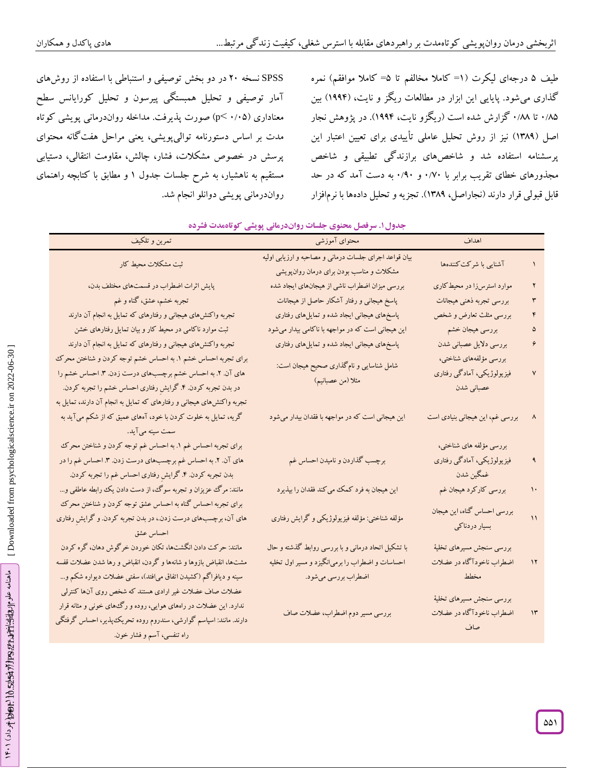SPSS نسخه 24 در دو بخش توصیفی و استنباطی با استفاده از روشهای آمار توصیفی و تحلیل همبستگی پیرسون و تحلیل کورایانس سطح معناداری (p< ۰/۰۵) صورت پذیرفت. مداخله رواندرمانی پویشی کوتاه مدت بر اساس دستورنامه توالیپویشی، یعنی مراحل هفتگانه محتوای پرسش در خصوص مشکالت، فشار، چالش، مقاومت انتقالی، دستیابی مستقیم به ناهشیار، به شرح جلسات جدول ۱ و مطابق با کتابچه راهنمای رواندرمانی پویشی دوانلو انجام شد.

طیف ۵ درجهای لیکرت (۱= کاملا مخالفم تا ۵= کاملا موافقم) نمره کداری می شود. پایایی این ابزار در مطالعات ریکز و نایت، (۱۹۹۴) بین ۰/۸۵ تا ۰/۸۸ کزارش شده است (ریکزو نایت، ۱۹۹۴). در پژوهش نجار اصل (۱۳۸۹) نیز از روش تحلیل عاملی تاییدی برای تعیین اعتبار این پرسشنامه استفاده شد و شاخصهای برازندگی تطبیقی و شاخص مجدورهای خطای تقریب برابر با ۰/۷۰ و ۰/۹۰ به دست آمد که در حد قابل قبولی قرار دارند (نجاراصل، ۱۳۸۹). تجزیه و تحلیل دادهها با نرمافزار

| تمرين و تلكيف                                                                                                                                                                                                                                                                                                                                                                                                                                   | بعدون"، سرعتس ماضوی ہنسان رواںدرمائی پویسی کو محمدت سرعاء<br>محتوای آموزشی                          | اهداف                                                              |               |
|-------------------------------------------------------------------------------------------------------------------------------------------------------------------------------------------------------------------------------------------------------------------------------------------------------------------------------------------------------------------------------------------------------------------------------------------------|-----------------------------------------------------------------------------------------------------|--------------------------------------------------------------------|---------------|
| ثبت مشكلات محيط كار                                                                                                                                                                                                                                                                                                                                                                                                                             | بیان قواعد اجرای جلسات درمانی و مصاحبه و ارزیابی اولیه<br>مشکلات و مناسب بودن برای درمان روان پویشی | آشنایی با شرکت کنندهها                                             |               |
| پایش اثرات اضطراب در قسمتهای مختلف بدن،                                                                                                                                                                                                                                                                                                                                                                                                         | بررسی میزان اضطراب ناشی از هیجانهای ایجاد شده                                                       | موارد استرسزا در محیط کاری                                         | ۲             |
| تجربه خشم، عشق، گناه و غم                                                                                                                                                                                                                                                                                                                                                                                                                       | پاسخ هیجانی و رفتار آشکار حاصل از هیجانات                                                           | بررسي تجربه ذهني هيجانات                                           | ٣             |
| تجربه واکنش۵مای هیجانی و رفتارهای که تمایل به انجام آن دارند                                                                                                                                                                                                                                                                                                                                                                                    | پاسخهای هیجانی ایجاد شده و تمایلهای رفتاری                                                          | بررسی مثلث تعارض و شخص                                             |               |
| ثبت موارد ناکامی در محیط کار و بیان تمایل رفتارهای خشن                                                                                                                                                                                                                                                                                                                                                                                          | این هیجانی است که در مواجهه با ناکامی بیدار میشود                                                   | بررسي هيجان خشم                                                    |               |
| تجربه واکنشهای هیجانی و رفتارهای که تمایل به انجام آن دارند                                                                                                                                                                                                                                                                                                                                                                                     | پاسخهای هیجانی ایجاد شده و تمایلهای رفتاری                                                          | بررسي دلايل عصباني شدن                                             | ۶             |
| برای تجربه احساس خشم ۱. به احساس خشم توجه کردن و شناختن محرک<br>های آن. ۲. به احساس خشم برچسبهای درست زدن. ۳. احساس خشم را<br>در بدن تجربه کردن. ۴. گرایش رفتاری احساس خشم را تجربه کردن.<br>تجربه واکنشهای هیجانی و رفتارهای که تمایل به انجام آن دارند، تمایل به                                                                                                                                                                              | شامل شناسایی و نامگذاری صحیح هیجان است:<br>مثلا (من عصبانيم)                                        | بررسى مؤلفههاى شناختى،<br>فیزیولوژیکی، آمادگی رفتاری<br>عصباني شدن | ٧             |
| گریه، تمایل به خلوت کردن با خود، آههای عمیق که از شکم میآید به<br>سمت سینه میآید.                                                                                                                                                                                                                                                                                                                                                               | این هیجانی است که در مواجهه با فقدان بیدار میشود                                                    | بررسی غم، این هیجانی بنیادی است                                    |               |
| برای تجربه احساس غم ۱. به احساس غم توجه کردن و شناختن محرک<br>های آن. ۲. به احساس غم برچسبهای درست زدن. ۳. احساس غم را در<br>بدن تجربه كردن. ۴. گرايش رفتاري احساس غم را تجربه كردن.                                                                                                                                                                                                                                                            | برچسب گذاردن و نامیدن احساس غم                                                                      | بررسی مؤلفه های شناختی،<br>فیزیولوژیکی، آمادگی رفتاری<br>غمگين شدن | ٩             |
| مانند: مرگ عزیزان و تجربه سوگ، از دست دادن یک رابطه عاطفی و…                                                                                                                                                                                                                                                                                                                                                                                    | این هیجان به فرد کمک میکند فقدان را بپذیرد                                                          | بررسی کارکرد هیجان غم                                              | ١٠            |
| برای تجربه احساس گناه به احساس عشق توجه کردن و شناختن محرک<br>های آن، برچسبهای درست زدن.، در بدن تجربه کردن. و گرایش رفتاری<br>احساس عشق                                                                                                                                                                                                                                                                                                        | مؤلفه شناختی: مؤلفه فیزیولوژیکی و گرایش رفتاری                                                      | بررسی احساس گناه، این هیجان<br>بسیار دردناکی                       | $\mathcal{L}$ |
| مانند: حرکت دادن انگشتها، تکان خوردن خرگوش دهان، گره کردن                                                                                                                                                                                                                                                                                                                                                                                       | با تشکیل اتحاد درمانی و با بررسی روابط گذشته و حال                                                  | بررسي سنجش مسيرهاي تخليهٔ                                          |               |
| مشتها، انقباض بازوها و شانهها و گردن، انقباض و رها شدن عضلات قفسه                                                                                                                                                                                                                                                                                                                                                                               | احساسات و اضطراب را برمیانگیزد و مسیر اول تخلیه                                                     | اضطراب ناخودآگاه در عضلات                                          | $\mathcal{N}$ |
| سینه و دیافراگم (کشیدن اتفاق می فتد)، سفتی عضلات دیواره شکم و…                                                                                                                                                                                                                                                                                                                                                                                  | اضطراب بررسي مي شود.                                                                                | مخطط                                                               |               |
| عضلات صاف عضلات غیر ارادی هستند که شخص روی آنها کنترلمی<br>ندارد. این عضلات در راههای هوایی، روده و رگههای خونی و مثانه قرار<br>دارند. مانند: اسپاسم گوارشی، سندروم روده تحریک پذیر، احساس گرفتگی<br><b><i>Contract Contract Contract Contract Contract Contract Contract Contract Contract Contract Contract Contract Contract Contract Contract Contract Contract Contract Contract Contract Contract Contract Contract Contract Cont</i></b> | بررسی مسیر دوم اضطراب، عضلات صاف                                                                    | بررسى سنجش مسيرهاى تخليهٔ<br>اضطراب ناخودآگاه در عضلات<br>صاف      | $\mathcal{W}$ |

## **. سرفصل محنوی جلسات رواندرمانی پویشی کوتاهمدت فشرده جدول1**

راه تنفسی، آسم وفشار خون.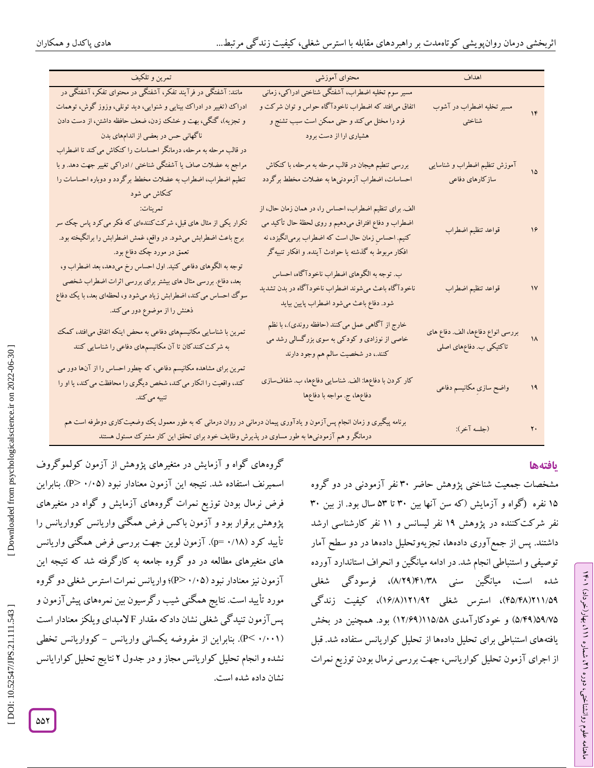| تمرين و تلكيف                                                                                                                                                                                                                       | محتواى آموزشى                                                                                                                                | اهداف                                                       |                       |
|-------------------------------------------------------------------------------------------------------------------------------------------------------------------------------------------------------------------------------------|----------------------------------------------------------------------------------------------------------------------------------------------|-------------------------------------------------------------|-----------------------|
| مانند: آشفتگی در فرآیند تفکر، آشفتگی در محتوای تفکر، آشفتگی در                                                                                                                                                                      | مسیر سوم تخلیه اضطراب، آشفتگی شناختی ادراکی، زمانی                                                                                           |                                                             |                       |
| ادراک (تغییر در ادراک بینایی و شنوایی، دید تونلی، وزوز گوش، توهمات                                                                                                                                                                  | اتفاق می فتد که اضطراب ناخودآگاه حواس و توان شرکت و                                                                                          | مسیر تخلیه اضطراب در آشوب                                   | $\mathcal{N}$         |
| و تجزیه)، گنگی، بهت و خشک زدن، ضعف حافظه داشتن، از دست دادن                                                                                                                                                                         | فرد را مختل می کند و حتی ممکن است سبب تشنج و                                                                                                 | شناختي                                                      |                       |
| ناگهانی حس در بعضی از اندامهای بدن                                                                                                                                                                                                  | هشیاری ارا از دست برود                                                                                                                       |                                                             |                       |
| در قالب مرحله به مرحله، درمانگر احساسات را کنکاش می کند تا اضطراب                                                                                                                                                                   |                                                                                                                                              |                                                             |                       |
| مراجع به عضلات صاف یا آشفتگی شناختی /ادراکی تغییر جهت دهد. و با                                                                                                                                                                     | بررسی تنطیم هیجان در قالب مرحله به مرحله، با کنکاش                                                                                           | آموزش تنظيم اضطراب و شناسايى                                | $\sqrt{2}$            |
| تنطیم اضطراب، اضطراب به عضلات مخطط برگردد و دوباره احساسات را                                                                                                                                                                       | احساسات، اضطراب آزمودنیها به عضلات مخطط برگردد                                                                                               | سازكارهاي دفاعي                                             |                       |
| کنکاش می شود                                                                                                                                                                                                                        |                                                                                                                                              |                                                             |                       |
| المستقل العام العام العام العام العام العام العام العام العام العام العام العام العام العام العام ا<br>العام العام العام العام العام العام العام العام العام العام العام العام العام العام العام العام العام العام ا<br>العام العام | الف. برای تنظیم اضطراب، احساس را، در همان زمان حال، از                                                                                       |                                                             |                       |
| تکرار یکی از مثال های قبل، شرکت کنندهای که فکر می کرد پاس چک  سر                                                                                                                                                                    | اضطراب و دفاع افتراق میدهیم و روی لحظهٔ حال تأکید می                                                                                         |                                                             |                       |
| برج باعث اضطرابش میشود. در واقع، غمش اضطرابش را برانگیخته بود.                                                                                                                                                                      | کنیم. احساس زمان حال است که اضطراب برمیانگیزد، نه                                                                                            | قواعد تنظيم اضطراب                                          | $\lambda \mathcal{F}$ |
| تعمق در مورد چک دفاع بود.                                                                                                                                                                                                           | افکار مربوط به گذشته یا حوادث آینده. و افکار تنبیهگر                                                                                         |                                                             |                       |
| توجه به الگوهای دفاعی کنید. اول احساس رخ میدهد، بعد اضطراب و،<br>بعد، دفاع. بررسی مثال های بیشتر برای بررسی اثرات اضطراب شخصی<br>سوگ احساس می کند، اضطرابش زیاد میشود و، لحظهای بعد، با یک دفاع<br>ذهنش را از موضوع دور می کند.     | ب. توجه به الگوهاي اضطراب ناخودآگاه، احساس<br>ناخودآگاه باعث میشوند اضطراب ناخودآگاه در بدن تشدید<br>شود. دفاع باعث میشود اضطراب پایین بیاید | قواعد تنظيم اضطراب                                          | $\mathsf{N}$          |
| تمرین با شناسایی مکانیسمهای دفاعی به محض اینکه اتفاق می فتد، کمک<br>به شرکت کنندکان تا آن مکانیسمهای دفاعی را شناسایی کنند                                                                                                          | خارج از آگاهی عمل میکنند (حافظه روندی).، با نظم<br>خاصی از نوزادی و کودکی به سوی بزرگسالی رشد می<br>کنند.، در شخصیت سالم هم وجود دارند       | بررسی انواع دفاعها، الف دفاع های<br>تاکتیکی ب. دفاعهای اصلی | $\lambda$             |
| تمرین برای مشاهده مکانیسم دفاعی، که چطور احساس را از آنها دور می<br>کند، واقعیت را انکار می کند، شخص دیگری را محافظت می کند، یا او را<br>تنبیه میکند.                                                                               | کار کردن با دفاعها: الف شناسایی دفاعها، ب شفافسازی<br>دفاعها، ج. مواجه با دفاعها                                                             | واضح سازي مكانيسم دفاعى                                     | ۱۹                    |
| برنامه پیگیری و زمان انجام پسآزمون و یادآوری پیمان درمانی در روان درمانی که به طور معمول یک وضعیت کاری دوطرفه است هم<br>درمانگر و هم آزمودنیها به طور مساوی در پذیرش وظایف خود برای تحقق این کار مشترک مسئول هستند                  | (جلسه آخر):                                                                                                                                  | $\mathbf{y}$                                                |                       |

### **یافتهها**

مشخصات جمعیت شناختی پژوهش حاضر 34 نفر آزمودنی در دو گروه ۱۵ نفره (گواه و آزمایش (که سن آنها بین ۳۰ تا ۵۳ سال بود. از بین ۳۰ نفر شرکتکننده در پژوهش 13 نفر لیسانس و 11 نفر کارشناسی ارشد داشتند. پس از جمع آوری دادهها، تجزیهوتحلیل دادهها در دو سطح آمار توصیفی و استنباطی انجام شد. در ادامه میانگین و انحراف استاندارد آورده شده است، میانگین سنی ۱۳۸(۱۴۱/۳۹ه)، فرسودگی شغلی ۴۵/۴۸/۲۱۱/۵۹)، استرس شغلی ۱۶/۸/۱۲۱/۹۲(۱۶/۸)، کیفیت زندگی ۵۹/۷۵(۵۹/۷۵) و خود کار امدی ۱۱۵/۵۸(۱۱۱۶/۶۹) بود. همچنین در بخش یافتههای استنباطی برای تحلیل دادهها از تحلیل کواریانس ستفاده شد. قبل از اجرای آزمون تحلیل کواریانس، جهت بررسی نرمال بودن توزیع نمرات

گروههای گواه و آزمایش در متغیرهای پژوهش از آزمون کولموگروف اسمیرنف استفاده شد. نتیجه این آزمون معنادار نبود (۰/۰۵–P). بنابراین فرض نرمال بودن توزیع نمرات گروههای آزمایش و گواه در متغیرهای پژوهش برقرار بود و آزمون باکس فرض همگنی واریانس کوواریانس را تأیید کرد (۱۸/۰ p=). آزمون لوین جهت بررسی فرض همگنی واریانس های متغیرهای مطالعه در دو کروه جامعه به کار کرفته شد که نتیجه این آزمون نیز معنادار نبود (۰/۰۵–P)؛ واریانس نمرات استرس شغلی دو گروه مورد تأیید است. نتایج همگنی شیب رگرسیون بین نمرههای پیشآزمون و پسآزمون تنیدگی شغلی نشان دادکه مقدار F لامبدای ویلکز معنادار است کوواریانس تخطی (. بنابراین از مفروضه یکسانی واریانس - P > 4 /441 ( انجام تحلیل کواریانس مجاز و در جدول ۲ نتایج تحلیل کوارایانس نشان داده شده است.

ラン

، بهار)خرداد( 111

، شماره 21

ماهنامه علوم روانشناختی، دوره

Downloaded from psychologicalscience.ir on 2022-06-30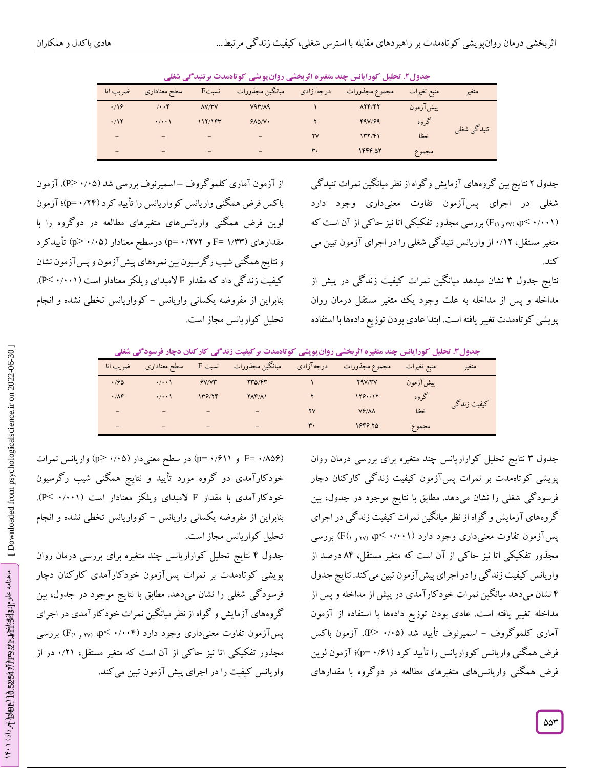|          | ت                 | .              | ◢<br>ی در پر ی  | $\sim$<br>— ⊿⊷ |                  | - - - -     |             |
|----------|-------------------|----------------|-----------------|----------------|------------------|-------------|-------------|
| ضريب اتا | سطح معناداري      | <b>F</b> سبت   | ميانگين مجذورات | درجهآزادي      | مجموع مجذورات    | منبع تغيرات | متغير       |
| .19      | 1.7               | $\Lambda V/YV$ | V47/A9          |                | $\Lambda Y F/FY$ | ييش آزمون   |             |
| .11      | $\cdot$ / $\cdot$ | 117/197        | YAO/V           |                | F4V/F9           | گروه        |             |
|          |                   |                |                 | ٢V             | 147/51           | خطا         | تنیدگی شغلی |
|          |                   |                |                 | ٣.             | 1444.07          | مجموع       |             |

**تحلیل کورایانس چند متغیره اثربخشی روانپویشی کوتاهمدت برتنیدگی شغلی . جدول2**

نتایج بین گروههای آزمایش وگواه ازنظرمیانگین نمرات تنیدگی جدول 2 شغلی در اجرای پسآزمون تفاوت معنیداری وجود دارد ( <sub>۴</sub>۰۷۰ (۲۰۰۲ و <sub>۴۱)</sub> بررسی مجذور تفکیکی اتا نیز حاکی از آن است که متغیر مستقل، ۰/۱۲ از واریانس تنید کی شغلی را در اجرای آزمون تبین می کند.

نتایج جدول ۳ نشان میدهد میانکین نمرات کیفیت زندگی در پیش از مداخله و پس از مداخله به علت وجود یک متغیر مستقل درمان روان پویشی کوتاهمدت تغییر یافته است. ابتدا عادی بودن توزیع دادهها با استفاده

از آزمون آماری کلموگروف –اسمیرنوف بررسی شد (۱٬۰۵–P). آزمون باکس فرض همگنی واریانس کوواریانس را تأیید کرد (۲۴/۰=p)؛ آزمون لوین فرض همگنی واریانسهای متغیرهای مطالعه در دوگروه را با مقدارهای (۱/۳۳ =F و ۰/۲۷۲ p= درسطح معنادار (۰/۰۵ <p) تأییدکرد و نتایج همکنی شیب ر کرسیون بین نمرههای پیش ازمون و پس ازمون نشان کیفیت زندگی داد که مقدار F لامبدای ویلکز معنادار است (P< ۰/۰۰۱). بنابراین از مفروضه یکسانی واریانس – کوواریانس تخطی نشده و انجام تحلیل کواریانس مجاز است.

**. تحلیل کورایانس چند متغیره اثربخشی روانپویشی کوتاهمدت برکیفیت زندگی کارکنان دچار فرسودگی شغلی جدول3**

| ضريب اتا | سطح معناداري        | نسبت F | ميانگين مجذورات          | درجه آزادی | مجموع مجذورات | منبع تغيرات | متغير       |
|----------|---------------------|--------|--------------------------|------------|---------------|-------------|-------------|
| .790     | $\cdot$ / $\cdot$ ) | Y/Y'   | $YY\Delta/YY$            |            | <b>YAV/YV</b> | ييشآزمون    |             |
| .78      | $\cdot$ / $\cdot$   | 159/74 | $Y\Lambda Y/\Lambda Y$   |            | 119.117       | گروه        |             |
| -        |                     | -      |                          | <b>YV</b>  | Vf/M          | خظا         | كيفيت زندگى |
| -        |                     | -      | $\overline{\phantom{0}}$ | ٣.         | 1848.80       | مجموع       |             |

نتایج تحلیل کواراریانس چند متغیره برای بررسی درمان روان جدول 3 پویشی کوتاهمدت بر نمرات پسآزمون کیفیت زندگی کارکنان دچار فرسودگی شغلی را نشان میدهد. مطابق با نتایج موجود در جدول، بین گروههای آزمایش و گواه از نظر میانگین نمرات کیفیت زندگی در اجرای پسآزمون تفاوت معنیداری وجود دارد (۰/۰۰۱ >p <sub>۷۲ و (</sub>۴۸ بررسی مجذور تفکیکی اتا نیز حاکی از آن است که متغیر مستقل، 14 درصد از واریانس کیفیت زندگی را در اجرای پیشآزمون تبین میکند. نتایج جدول نشان میدهد میانگین نمرات خودکارآمدی در پیش از مداخله و پس از 4 مداخله تغییر یافته است. عادی بودن توزیع دادهها با استفاده از آزمون آماری کلموگروف – اسمیرنوف تأیید شد (۰/۰۵ <P). آزمون باکس فرض همگنی واریانس کوواریانس را تأیید کرد (p= ۰/۶۱)؛ آزمون لوین فرض همگنی واریانسهای متغیرهای مطالعه در دوگروه با مقدارهای

( F= ۰/۸۵۶ و ( ۰/۶۱۱ p=) در سطح معنیدار (۰/۰۵ <p) واریانس نمرات خودکارآمدی دو گروه مورد تأیید و نتایج همگنی شیب رگرسیون خودکارآمدی با مقدار F لامبدای ویلکز معنادار است (۱۰۰۱- .P<). بنابراین از مفروضه یکسانی واریانس – کوواریانس تخطی نشده و انجام تحلیل کواریانس مجاز است.

نتایج تحلیل کواراریانس چند متغیره برای بررسی درمان روان جدول 4 پویشی کوتاهمدت بر نمرات پسآزمون خودکارآمدی کارکنان دچار فرسودگی شغلی را نشان میدهد. مطابق با نتایج موجود در جدول، بین گروههای آزمایش و گواه از نظر میانگین نمرات خود کار آمدی در اجرای پسآزمون تفاوت معنیداری وجود دارد (۰/۰۰۴ >q (۲۰،۰۴ بررسی مجذور تفکیکی اتا نیز حاکی از آن است که متغیر مستقل، ۰/۲۱ در از واریانس کیفیت را در اجرای پیش آزمون تبین می کند.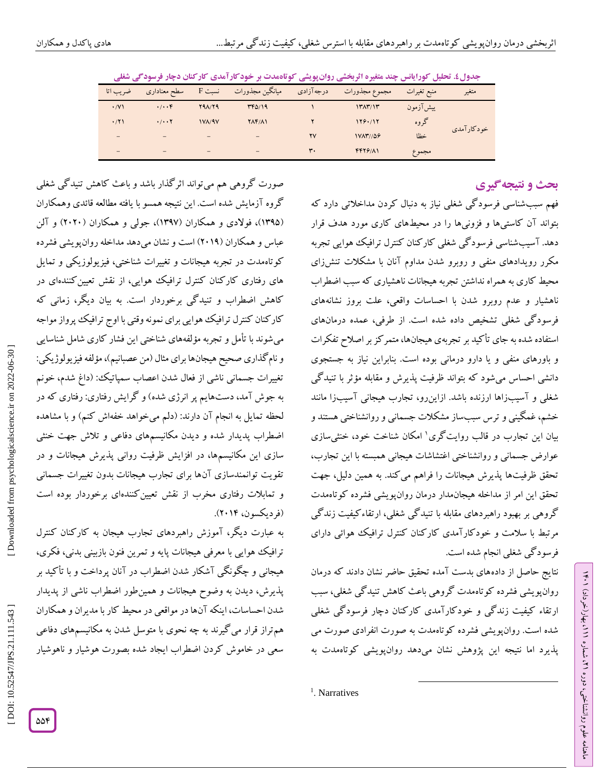|             |                                   |               | تر ۔۔۔۔۔ پر این یکی این سال ہے ۔ پار ار این ی سال |            | بعارياته عفيل الرداياتس بعده ستيره الرباعتي رزان پريشي |             |            |
|-------------|-----------------------------------|---------------|---------------------------------------------------|------------|--------------------------------------------------------|-------------|------------|
| ضريب اتا    | سطح معناداري                      | نست F         | ميانگين مجذورات                                   | درجه آزادی | مجموع مجذورات                                          | منبع تغيرات | متغير      |
| $\cdot$ /V) | $\cdot/\cdot\cdot f$              | Y9A/Y9        | $TT\delta/19$                                     |            | $17\pi$ / $17$                                         | ييشآزمون    |            |
| .771        | $\cdot$ / $\cdot$ $\cdot$ $\cdot$ | <b>IVA/9V</b> | $Y\Lambda Y/\Lambda Y$                            |            | 128.117                                                | گروه        | خودكارآمدي |
|             |                                   |               | -                                                 | <b>YV</b>  | <b>IVAT//09</b>                                        | خظا         |            |
|             |                                   |               | -                                                 | ٣.         | $FFY9/\Lambda$                                         | مجموع       |            |

جدول£. تحلیل کور**ایانس چند متغیره اتربخشی روانپویشی کوتا**همدت بر خودکار آمدی کارکنان دچار فرسودگی شغلی

# **ی نتیجهگیر بحث و**

ラン

، بهار)خرداد( 111

، شماره 21

ماهنامه علوم روانشناختی، دوره

فهم سببشناسی فرسودگی شغلی نیاز به دنبال کردن مداخالتی دارد که بتواند آن کاستیها و فزونیها را در محیطهای کاری مورد هدف قرار دهد. آسیبشناسی فرسودگی شغلی کارکنان کنترل ترافیک هوایی تجربه مکرر رویدادهای منفی و روبرو شدن مداوم آنان با مشکلات تنشزای محیط کاری به همراه نداشتن تجربه هیجانات ناهشیاری که سبب اضطراب ناهشیار و عدم روبرو شدن با احساسات واقعی، علت بروز نشانههای فرسودگی شغلی تشخیص داده شده است. از طرفی، عمده درمانهای استفاده شده به جای تأکید برتجربهی هیجانها، متمرکزبراصالح تفکرات و باورهای منفی و یا دارو درمانی بوده است. بنابراین نیاز به جستجوی دانشی احساس میشود که بتواند ظرفیت پذیرش و مقابله مؤثر با تنیدگی شغلی و آسیبزاها ارزنده باشد. ازاینرو، تجارب هیجانی آسیبزا مانند خشم، غمگینی و ترس سببساز مشکالت جسمانی و روانشناختی هستند و بیان این تجارب در قالب روایتگری 1 امکان شناخت خود، خنثیسازی عوارض جسمانی و روانشناختی اغتشاشات هیجانی همبسته با این تجارب، تحقق ظرفیتها پذیرش هیجانات را فراهم میکند. به همین دلیل، جهت تحقق این امر از مداخله هیجانمدار درمان روانپویشی فشرده کوتاهمدت گروهی بر بهبود راهبردهای مقابله با تنیدگی شغلی، ارتقاء کیفیت زندگی مرتبط با سلامت و خود کارآمدی کار کنان کنترل ترافیک هوائی دارای فرسود کی شغلی انجام شده است.

نتایج حاصل از دادههای بدست آمده تحقیق حاضر نشان دادند که درمان روانپویشی فشرده کوتاهمدت گروهی باعث کاهش تنیدگی شغلی، سبب ارتقاء کیفیت زندگی و خودکارآمدی کارکنان دچار فرسودگی شغلی شده است. روانپویشی فشرده کوتاهمدت به صورت انفرادی صورت می پذیرد اما نتیجه این پژوهش نشان میدهد روانپویشی کوتاهمدت به

 $\overline{\phantom{a}}$ 

صورت گروهی هم میتواند اثرگذار باشد و باعث کاهش تنیدگی شغلی گروه آزمایش شده است. این نتیجه همسو با یافته مطالعه قائدی وهمکاران (۱۳۹۵)، فولادی و همکاران (۱۳۹۷)، جولی و همکاران (۲۰۲۰) و آلن عباس و همکاران )2413( است ونشان میدهد مداخله روانپویشی فشرده کوتاهمدت در تجربه هیجانات و تغییرات شناختی، فیزیولوزیکی و تمایل های رفتاری کارکنان کنترل ترافیک هوایی، از نقش تعیینکنندهای در کاهش اضطراب و تنیدگی برخوردار است. به بیان دیگر، زمانی که کارکنان کنترل ترافیک هوایی برای نمونه وقتی با اوج ترافیک پرواز مواجه میشوند با تأمل و تجربه مؤلفههای شناختی این فشار کاری شامل شناسایی و نام کذاری صحیح هیجانها برای مثال (من عصبانیم)، مؤلفه فیزیولوژیکی: تغییرات جسمانی ناشی از فعال شدن اعصاب سمپاتیک: )داغ شدم، خونم به جوش آمد، دستهایم پر انرژی شده) و گرایش رفتاری: رفتاری که در لحظه تمایل به انجام آن دارند: (دلم میخواهد خفهاش کنم) و با مشاهده اضطراب پدیدار شده و دیدن مکانیسمهای دفاعی و تالش جهت خنثی سازی این مکانیسمها، در افزایش ظرفیت روانی پذیرش هیجانات و در تقویت توانمندسازی آنها برای تجارب هیجانات بدون تغییرات جسمانی و تمابلات رفتاری مخرب از نقش تعیین کنندهای برخوردار بوده است )فردیکسون، 2414(.

به عبارت دیگر، آموزش راهبردهای تجارب هیجان به کارکنان کنترل ترافیک هوایی با معرفی هیجانات پایه و تمرین فنون بازبینی بدنی، فکری، هیجانی و چگونگی آشکار شدن اضطراب در آنان پرداخت و با تأکید بر پذیرش، دیدن به وضوح هیجانات و همینطور اضطراب ناشی از پدیدار شدن احساسات، اینکه آنها در مواقعی در محیط کار با مدیران و همکاران همتراز قرار میگیرند به چه نحوی با متوسل شدن به مکانیسمهای دفاعی سعی در خاموش کردن اضطراب ایجاد شده بصورت هوشیار و ناهوشیار

<sup>1</sup>. Narratives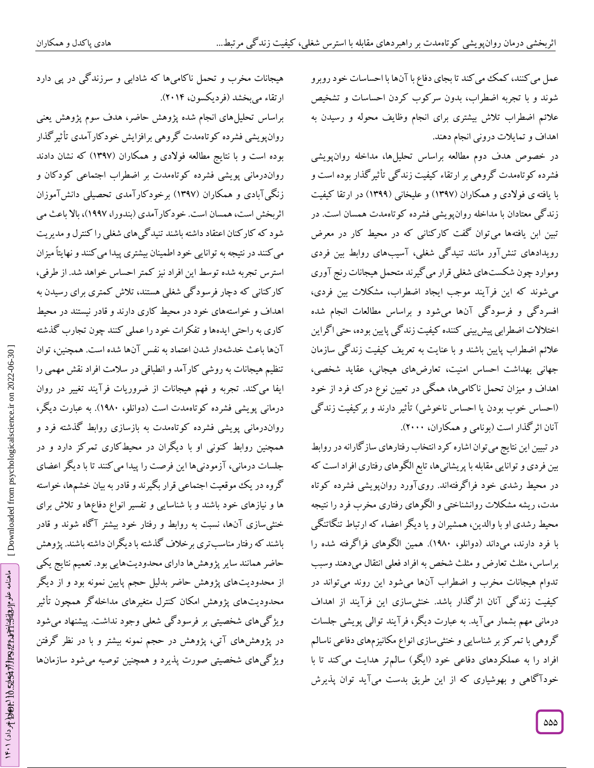عمل می کنند، کمک می کند تا بجای دفاع با آنها با احساسات خود روبرو شوند و با تجربه اضطراب، بدون سرکوب کردن احساسات و تشخیص عالئم اضطراب تالش بیشتری برای انجام وظایف محوله و رسیدن به اهداف و تمایالت درونی انجام دهند.

در خصوص هدف دوم مطالعه براساس تحلیلها، مداخله روانپویشی فشرده کوتاهمدت گروهی بر ارتقاء کیفیت زندگی تأثیرگذار بوده است و با یافتهی فوالدی و همکاران )1331( و علیخانی )1333( در ارتقا کیفیت زندگی معتادان با مداخله روانپویشی فشرده کوتاهمدت همسان است. در تبین ابن یافتهها میتوان گفت کارکنانی که در محیط کار در معرض رویدادهای تنشآور مانند تنیدگی شغلی، آسیبهای روابط بین فردی وموارد چون شکستهای شغلی قرار می کیرند متحمل هیجانات رنج آوری میشوند که این فرآیند موجب ایجاد اضطراب، مشکالت بین فردی، افسردگی و فرسودگی آنها میشود و براساس مطالعات انجام شده اختالالت اضطرابی پیشبینی کننده کیفیت زندگی پایین بوده، حتی اگراین عالئم اضطراب پایین باشند و با عنایت به تعریف کیفیت زندگی سازمان جهانی بهداشت احساس امنیت، تعارضهای هیجانی، عقاید شخصی، میزان تحمل ناکامیها، همگی در تعیین نوع درک فرد از خود اهداف و (احساس خوب بودن یا احساس ناخوشی) تأثیر دارند و بر کیفیت زندگی آنان اثرگذار است )بونامی و همکاران، 2444(.

درتبیین این نتایج میتوان اشاره کرد انتخاب رفتارهای سازگارانه در روابط بین فردی وتوانایی مقابله با پریشانیها، تابع الگوهای رفتاری افراد است که در محیط رشدی خود فراگرفتهاند. رویآورد روانپویشی فشرده کوتاه مدت، ریشه مشکالت روانشناختی و الگوهای رفتاری مخرب فرد را نتیجه محیط رشدی او با والدین، همشیران و یا دیگر اعضاء که ارتباط تنگاتنگی با فرد دارند، میداند )دوانلو، 1314(. همین الگوهای فراگرفته شده را براساس، مثلث تعارض و مثلث شخص به افراد فعلی انتقال میدهند وسبب تدوام هیجانات مخرب و اضطراب آنها میشود این روند میتواند در کیفیت زندگی آنان اثرگذار باشد. خنثیسازی این فرآیند از اهداف درمانی مهم بشمار میآید. به عبارت دیگر، فرآیند توالی پویشی جلسات گروهی با تمرکز بر شناسایی و خنثیسازی انواع مکانیزمهای دفاعی ناسالم افراد را به عملکردهای دفاعی خود )ایگو( سالمتر هدایت میکند تا با خودا کاهی و بهوشیاری که از این طریق بدست می!ید توان پذیرش

ارتقاء میبخشد )فردیکسون، 2414(. براساس تحلیلهای انجام شده پژوهش حاضر، هدف سوم پژوهش یعنی روانپویشی فشرده کوتاهمدت گروهی برافزایش خودکارآمدی تأثیرگذار بوده است و با نتایج مطالعه فولادی و همکاران (۱۳۹۷) که نشان دادند رواندرمانی پویشی فشرده کوتاهمدت بر اضطراب اجتماعی کودکان و زنگیآبادی و همکاران )1331( برخودکارآمدی تحصیلی دانشآموزان اثربخش است، همسان است. خود کار آمدی (بندورا، ۱۹۹۷)، بالا باعث می شود که کارکنان اعتقاد داشته باشند تنیدگیهای شغلی را کنترل و مدیریت میکنند درنتیجه بهتوانایی خوداطمینان بیشتری پیدا میکنند و نهایتاً میزان استرس تجربه شده توسط این افراد نیز کمتر احساس خواهد شد. از طرفی، کارکنانی که دچار فرسودگی شغلی هستند، تالش کمتری برای رسیدن به

هیجانات مخرب و تحمل ناکامیها که شادابی و سرزندگی در پی دارد

خواستههای خود در محیط کاری دارند و قادر نیستند در محیط اهداف و کاری به راحتی ایدهها و تفکرات خود را عملی کنند چون تجارب کدشته آنها باعث خدشهدار شدن اعتماد به نفس آنها شده است. همچنین، توان تنظیم هیجانات به روشی کارآمد و انطباقی در سلامت افراد نقش مهمی را ایفا می کند. تجربه و فهم هیجانات از ضروریات فرآیند تغییر در روان درمانی پویشی فشرده کوتاهمدت است (دوانلو، ۱۹۸۰). به عبارت دیگر،<br>رواندرمانی پویشی فشرده کوتاهمدت به بازسازی روابط گذشته فرد و همچنین روابط کنونی او با دیگران در محیطکاری تمرکز دارد و در جلسات درمانی، آزمودنیها این فرصت را پیدا میکنند تا با دیگر اعضای گروه در یک موقعیت اجتماعی قرار بکیرند و قادر به بیان خشمها، خواسته نیازهای خود باشند و با شناسایی و تفسیر انواع دفاعها و تالش برای ها و خنثی سازی آنها، نسبت به روابط و رفتار خود بیشتر آکاه شوند و قادر باشند که رفتار مناسبتری برخلاف گذشته با دیگران داشته باشند. پژوهش حاضر همانند سایر پژوهشها دارای محدودیتهایی بود. تعمیم نتایج یکی از محدودیتهای پژوهش حاضر بدلیل حجم پایین نمونه بود و از دیگر<br>محدودیتهای پژوهش امکان کنترل متغیرهای مداخلهگر همچون تأثیر ویژگیهای شخصیتی بر فرسودگی شعلی وجود نداشت. پیشنهاد میشود در پژوهشهای آتی، پژوهش در حجم نمونه بیشتر و با در نظر گرفتن ویژ کیهای شخصیتی صورت پذیرد و همچنین توصیه میشود سازمانها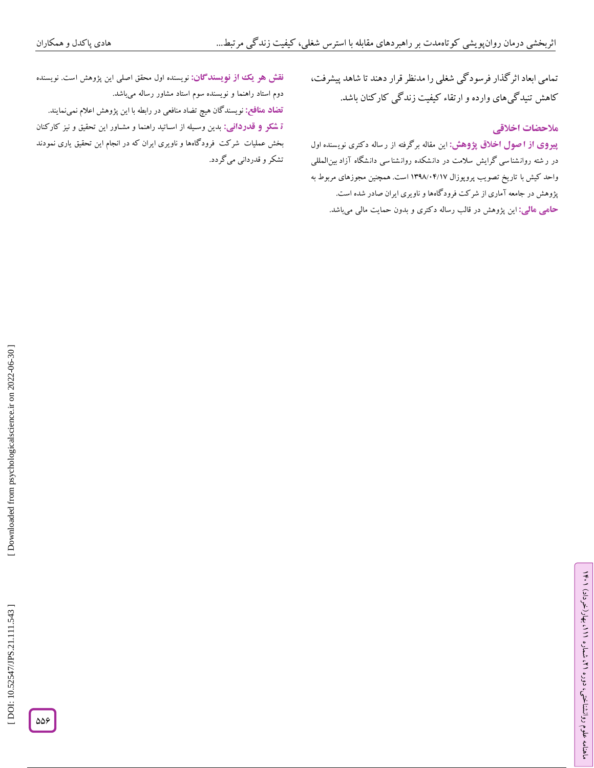تمامی ابعاد اثرگذار فرسودگی شغلی را مدنظر قرار دهند تا شاهد پیشرفت، کاهش تنیدگی&ای وارده و ارتقاء کیفیت زندگی کارکنان باشد.<br>هلا**حضات اخ**لاقی

این مقاله برگرفته از ر ساله دکتری نوی سنده اول **از ا صول اخالق پژوهش: پیروی** در ر شته روانشنا سی گرایش سلامت در دانشکده روانشنا سی دانشگاه آزاد بین|لمللی واحد کیش با تاریخ تصویب پروپوزال ۱۳۹۸/۰۲/۱۷ است. همچنین مجوزهای مربوط به پژوهش در جامعه آماری از شرکت فرودگاهها و ناویری ایران صادر شده است. بدون حمایت مالی میباشد. این پژوهش در قالب رساله دکتری و **: مالی حامی**

**نقش هو یک از نویسندگان:** نویسنده اول محقق اصلی این پژوهش است. نویسنده دوم استاد راهنما و نویسنده سوم استاد مشاور رساله میباشد. <mark>تضاد منافع:</mark> نویسندگان هیچ تضاد منافعی در رابطه با این پژوهش اعلام نمی $i$ مایند. **ٔ تسکر و قدردانی:** بدین وسـیله از اسـاتید راهنما و مشـاور این تحقیق و نیز کارکنان بخش عملیات شرکت فرودگاهها و ناویری ایران که در انجام این تحقیق یاری نمودند<br>تشکر و قدردانی میگردد.

[Downloaded from psychologicalscience.ir on 2022-06-30]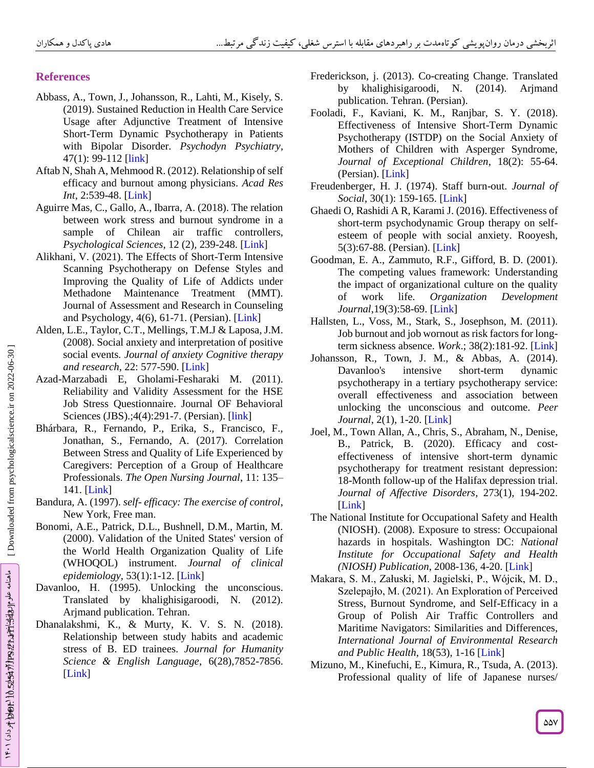# **References**

- Abbass, A., Town, J., Johansson, R., Lahti, M., Kisely, S. (2019). Sustained Reduction in Health Care Service Usage after Adjunctive Treatment of Intensive Short -Term Dynamic Psychotherapy in Patients with Bipolar Disorder*. Psychodyn Psychiatry*, 47(1): 99-112 [\[link](https://pubmed.ncbi.nlm.nih.gov/30840559/)]
- Aftab N, Shah A, Mehmood R. (2012). Relationship of self efficacy and burnout among physicians. *Acad Res*  Int, 2:539-48. [\[Link](https://citeseerx.ist.psu.edu/viewdoc/download?doi=10.1.1.1077.8451&rep=rep1&type=pdf)]
- Aguirre Mas, C., Gallo, A., Ibarra, A. (2018). The relation between work stress and burnout syndrome in a sample of Chilean air traffic controllers, *Psychological Sciences*, 12 (2), 239 -248. [\[Link](http://www.scielo.edu.uy/pdf/cp/v12n2/en_1688-4221-cp-12-02-239.pdf) ]
- Alikhani, V. (2021). The Effects of Short -Term Intensive Scanning Psychotherapy on Defense Styles and Improving the Quality of Life of Addicts under Methadone Maintenance Treatment (MMT). Journal of Assessment and Research in Counseling and Psychology, 4(6), 61-71. (Persian). [\[Link](https://www.sid.ir/en/journal/JournalList.aspx?ID=36073)]
- Alden, L.E., Taylor, C.T., Mellings, T.M.J & Laposa, J.M. (2008). Social anxiety and interpretation of positive social events*. Journal of anxiety Cognitive therapy and research*, 22: 577 -590. [\[Link](https://isiarticles.com/bundles/Article/pre/pdf/33079.pdf) ]
- Azad -Marzabadi E, Gholami -Fesharaki M. (2011). Reliability and Validity Assessment for the HSE Job Stress Questionnaire. Journal OF Behavioral Sciences (JBS).;4(4):291-7. (Persian). [\[link](http://ioh.iums.ac.ir/article-1-1900-en.pdf)]
- Bhárbara, R., Fernando, P., Erika, S., Francisco, F., Jonathan, S., Fernando, A. (2017). Correlation Between Stress and Quality of Life Experienced by Caregivers: Perception of a Group of Healthcare Professionals. *The Open Nursing Journal*, 11: 135 – 141. [\[Link](https://www.ncbi.nlm.nih.gov/pmc/articles/PMC5712653/) ]
- Bandura, A. (1997). *self- efficacy: The exercise of control*, New York, Free man.
- Bonomi, A.E., Patrick, D.L., Bushnell, D.M., Martin, M. (2000). Validation of the United States' version of the World Health Organization Quality of Life (WHOQOL) instrument. *Journal of clinical epidemiology*, 53(1):1 -12. [\[Link](https://pubmed.ncbi.nlm.nih.gov/10693897/) ]
- Davanloo, H . (1995). Unlocking the unconscious. Translated by khalighisigaroodi, N. (2012). Arjmand publication. Tehran.
- Dhanalakshmi, K., & Murty, K. V. S. N. (2018). Relationship between study habits and academic stress of B. ED trainees. *Journal for Humanity Science & English Language*, 6(28),7852 -7856. [\[Link](http://oaji.net/articles/2017/1201-1537182866.pdf) ]
- Frederickson, j. (2013). Co -creating Change. Translated by khalighisigaroodi, N. (2014). Arjmand publication. Tehran. (Persian).
- Fooladi, F., Kaviani, K. M., Ranjbar, S. Y. (2018). Effectiveness of Intensive Short -Term Dynamic Psychotherapy (ISTDP) on the Social Anxiety of Mothers of Children with Asperger Syndrome, *Journal of Exceptional Children*, 18(2): 55 -64. (Persian). [\[Link](http://joec.ir/article-1-645-fa.html)]
- Freudenberger, H. J. (1974). Staff burn -out. *Journal of*  Social, 30(1): 159-165. [\[Link](https://spssi.onlinelibrary.wiley.com/doi/abs/10.1111/j.1540-4560.1974.tb00706.x)]
- Ghaedi O, Rashidi A R, Karami J. (2016). Effectiveness of short -term psychodynamic Group therapy on self esteem of people with social anxiety. Rooyesh, 5(3):67 -88. (Persian). [\[Link](http://frooyesh.ir/article-1-124-fa.html) ]
- Goodman, E. A., Zammuto, R.F., Gifford, B. D. (2001). The competing values framework: Understanding the impact of organizational culture on the quality of work life. *Organization Development Journal*,19(3):58 -69. [ [Link](https://pdfs.semanticscholar.org/f83e/3885176f66e4436255e3bd192e8a3d194b38.pdf) ]
- Hallsten, L., Voss, M., Stark, S., Josephson, M. (2011). Job burnout and job wornout as risk factors for long term sickness absence. *Work*.; 38(2):181 -92. [\[Link](https://pubmed.ncbi.nlm.nih.gov/21297288/) ]
- Johansson, R., Town, J. M., & Abbas, A. (2014). Davanloo's intensive short-term dynamic psychotherapy in a tertiary psychotherapy service: overall effectiveness and association between unlocking the unconscious and outcome. *Peer Journal*, 2(1), 1 -20. [\[Link](https://pubmed.ncbi.nlm.nih.gov/25210661/) ]
- Joel, M., Town Allan, A., Chris, S., Abraham, N., Denise, B., Patrick, B. (2020). Efficacy and cost effectiveness of intensive short -term dynamic psychotherapy for treatment resistant depression: 18 -Month follow -up of the Halifax depression trial. *Journal of Affective Disorders*, 273(1), 194 -202. [\[Link](https://pubmed.ncbi.nlm.nih.gov/32421603/) ]
- The National Institute for Occupational Safety and Health (NIOSH). (2008). Exposure to stress: Occupaional hazards in hospitals. Washington DC: *National Institute for Occupational Safety and Health (NIOSH) Publication*, 2008 -136, 4 - 20. [\[Link](https://www.cdc.gov/niosh/docs/2008-136/default.html) ]
- Makara, S. M., Załuski, M. Jagielski, P., Wójcik, M. D., Szelepajło, M. (2021). An Exploration of Perceived Stress, Burnout Syndrome, and Self -Efficacy in a Group of Polish Air Traffic Controllers and Maritime Navigators: Similarities and Differences, *International Journal of Environmental Research and Public Health*, 18(53), 1 -16 [\[Link](https://dx.doi.org/10.3390/%20ijerph18010053) ]
- Mizuno, M., Kinefuchi, E., Kimura, R., Tsuda, A. (2013). Professional quality of life of Japanese nurses/